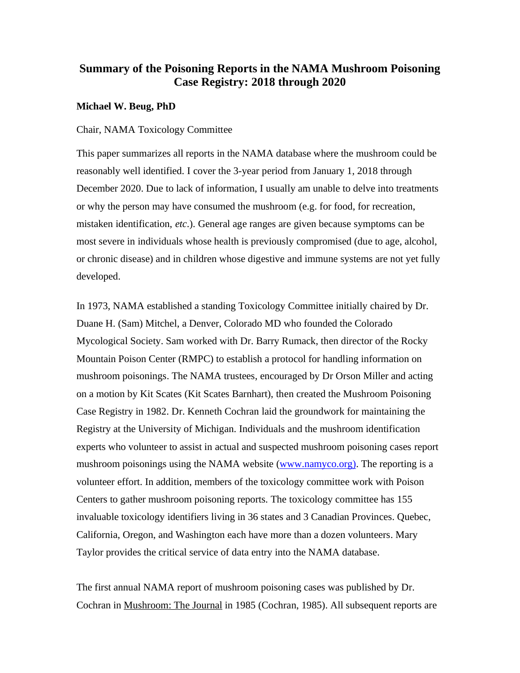## **Summary of the Poisoning Reports in the NAMA Mushroom Poisoning Case Registry: 2018 through 2020**

### **Michael W. Beug, PhD**

#### Chair, NAMA Toxicology Committee

This paper summarizes all reports in the NAMA database where the mushroom could be reasonably well identified. I cover the 3-year period from January 1, 2018 through December 2020. Due to lack of information, I usually am unable to delve into treatments or why the person may have consumed the mushroom (e.g. for food, for recreation, mistaken identification, *etc*.). General age ranges are given because symptoms can be most severe in individuals whose health is previously compromised (due to age, alcohol, or chronic disease) and in children whose digestive and immune systems are not yet fully developed.

In 1973, NAMA established a standing Toxicology Committee initially chaired by Dr. Duane H. (Sam) Mitchel, a Denver, Colorado MD who founded the Colorado Mycological Society. Sam worked with Dr. Barry Rumack, then director of the Rocky Mountain Poison Center (RMPC) to establish a protocol for handling information on mushroom poisonings. The NAMA trustees, encouraged by Dr Orson Miller and acting on a motion by Kit Scates (Kit Scates Barnhart), then created the Mushroom Poisoning Case Registry in 1982. Dr. Kenneth Cochran laid the groundwork for maintaining the Registry at the University of Michigan. Individuals and the mushroom identification experts who volunteer to assist in actual and suspected mushroom poisoning cases report mushroom poisonings using the NAMA website [\(www.namyco.org\).](http://www.namyco.org)/) The reporting is a volunteer effort. In addition, members of the toxicology committee work with Poison Centers to gather mushroom poisoning reports. The toxicology committee has 155 invaluable toxicology identifiers living in 36 states and 3 Canadian Provinces. Quebec, California, Oregon, and Washington each have more than a dozen volunteers. Mary Taylor provides the critical service of data entry into the NAMA database.

The first annual NAMA report of mushroom poisoning cases was published by Dr. Cochran in Mushroom: The Journal in 1985 (Cochran, 1985). All subsequent reports are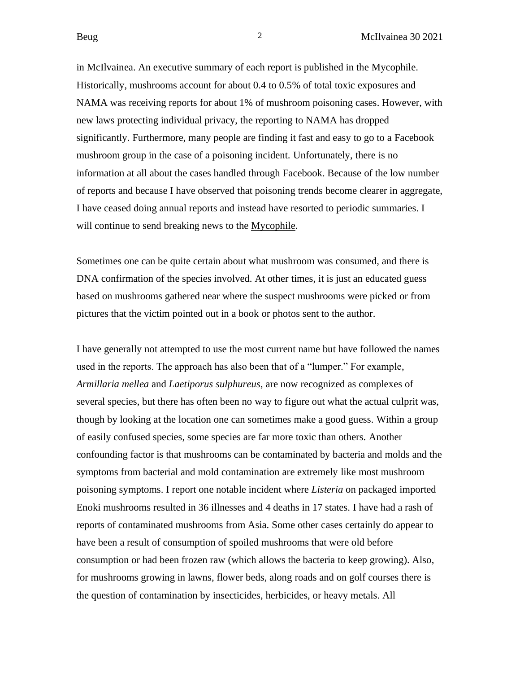in McIlvainea. An executive summary of each report is published in the Mycophile. Historically, mushrooms account for about 0.4 to 0.5% of total toxic exposures and NAMA was receiving reports for about 1% of mushroom poisoning cases. However, with new laws protecting individual privacy, the reporting to NAMA has dropped significantly. Furthermore, many people are finding it fast and easy to go to a Facebook mushroom group in the case of a poisoning incident. Unfortunately, there is no information at all about the cases handled through Facebook. Because of the low number of reports and because I have observed that poisoning trends become clearer in aggregate, I have ceased doing annual reports and instead have resorted to periodic summaries. I will continue to send breaking news to the Mycophile.

Sometimes one can be quite certain about what mushroom was consumed, and there is DNA confirmation of the species involved. At other times, it is just an educated guess based on mushrooms gathered near where the suspect mushrooms were picked or from pictures that the victim pointed out in a book or photos sent to the author.

I have generally not attempted to use the most current name but have followed the names used in the reports. The approach has also been that of a "lumper." For example, *Armillaria mellea* and *Laetiporus sulphureus*, are now recognized as complexes of several species, but there has often been no way to figure out what the actual culprit was, though by looking at the location one can sometimes make a good guess. Within a group of easily confused species, some species are far more toxic than others. Another confounding factor is that mushrooms can be contaminated by bacteria and molds and the symptoms from bacterial and mold contamination are extremely like most mushroom poisoning symptoms. I report one notable incident where *Listeria* on packaged imported Enoki mushrooms resulted in 36 illnesses and 4 deaths in 17 states. I have had a rash of reports of contaminated mushrooms from Asia. Some other cases certainly do appear to have been a result of consumption of spoiled mushrooms that were old before consumption or had been frozen raw (which allows the bacteria to keep growing). Also, for mushrooms growing in lawns, flower beds, along roads and on golf courses there is the question of contamination by insecticides, herbicides, or heavy metals. All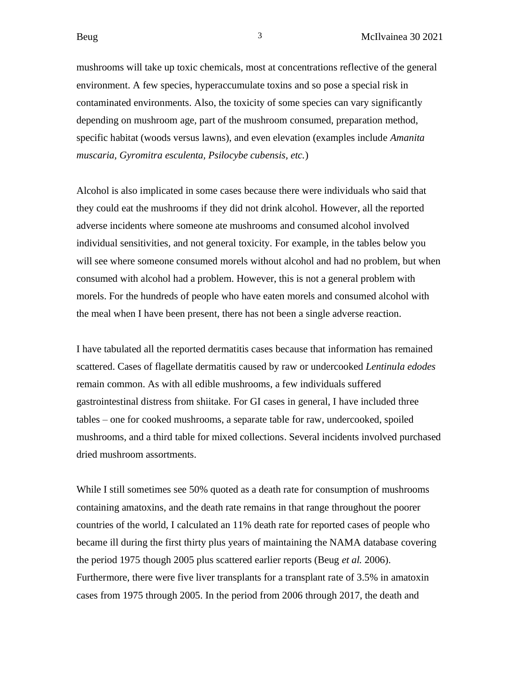mushrooms will take up toxic chemicals, most at concentrations reflective of the general environment. A few species, hyperaccumulate toxins and so pose a special risk in contaminated environments. Also, the toxicity of some species can vary significantly depending on mushroom age, part of the mushroom consumed, preparation method, specific habitat (woods versus lawns), and even elevation (examples include *Amanita muscaria, Gyromitra esculenta, Psilocybe cubensis, etc.*)

Alcohol is also implicated in some cases because there were individuals who said that they could eat the mushrooms if they did not drink alcohol. However, all the reported adverse incidents where someone ate mushrooms and consumed alcohol involved individual sensitivities, and not general toxicity. For example, in the tables below you will see where someone consumed morels without alcohol and had no problem, but when consumed with alcohol had a problem. However, this is not a general problem with morels. For the hundreds of people who have eaten morels and consumed alcohol with the meal when I have been present, there has not been a single adverse reaction.

I have tabulated all the reported dermatitis cases because that information has remained scattered. Cases of flagellate dermatitis caused by raw or undercooked *Lentinula edodes* remain common. As with all edible mushrooms, a few individuals suffered gastrointestinal distress from shiitake. For GI cases in general, I have included three tables – one for cooked mushrooms, a separate table for raw, undercooked, spoiled mushrooms, and a third table for mixed collections. Several incidents involved purchased dried mushroom assortments.

While I still sometimes see 50% quoted as a death rate for consumption of mushrooms containing amatoxins, and the death rate remains in that range throughout the poorer countries of the world, I calculated an 11% death rate for reported cases of people who became ill during the first thirty plus years of maintaining the NAMA database covering the period 1975 though 2005 plus scattered earlier reports (Beug *et al.* 2006). Furthermore, there were five liver transplants for a transplant rate of 3.5% in amatoxin cases from 1975 through 2005. In the period from 2006 through 2017, the death and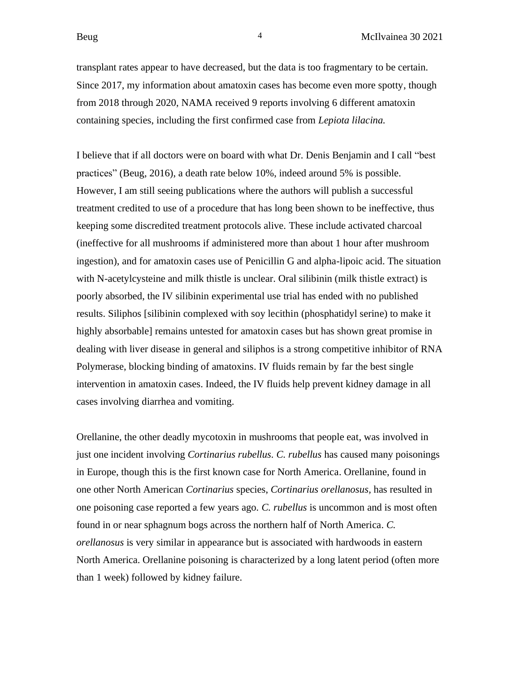transplant rates appear to have decreased, but the data is too fragmentary to be certain. Since 2017, my information about amatoxin cases has become even more spotty, though from 2018 through 2020, NAMA received 9 reports involving 6 different amatoxin containing species, including the first confirmed case from *Lepiota lilacina.*

I believe that if all doctors were on board with what Dr. Denis Benjamin and I call "best practices" (Beug, 2016), a death rate below 10%, indeed around 5% is possible. However, I am still seeing publications where the authors will publish a successful treatment credited to use of a procedure that has long been shown to be ineffective, thus keeping some discredited treatment protocols alive. These include activated charcoal (ineffective for all mushrooms if administered more than about 1 hour after mushroom ingestion), and for amatoxin cases use of Penicillin G and alpha-lipoic acid. The situation with N-acetylcysteine and milk thistle is unclear. Oral silibinin (milk thistle extract) is poorly absorbed, the IV silibinin experimental use trial has ended with no published results. Siliphos [silibinin complexed with soy lecithin (phosphatidyl serine) to make it highly absorbable] remains untested for amatoxin cases but has shown great promise in dealing with liver disease in general and siliphos is a strong competitive inhibitor of RNA Polymerase, blocking binding of amatoxins. IV fluids remain by far the best single intervention in amatoxin cases. Indeed, the IV fluids help prevent kidney damage in all cases involving diarrhea and vomiting.

Orellanine, the other deadly mycotoxin in mushrooms that people eat, was involved in just one incident involving *Cortinarius rubellus. C. rubellus* has caused many poisonings in Europe, though this is the first known case for North America. Orellanine, found in one other North American *Cortinarius* species, *Cortinarius orellanosus,* has resulted in one poisoning case reported a few years ago*. C. rubellus* is uncommon and is most often found in or near sphagnum bogs across the northern half of North America. *C. orellanosus* is very similar in appearance but is associated with hardwoods in eastern North America. Orellanine poisoning is characterized by a long latent period (often more than 1 week) followed by kidney failure.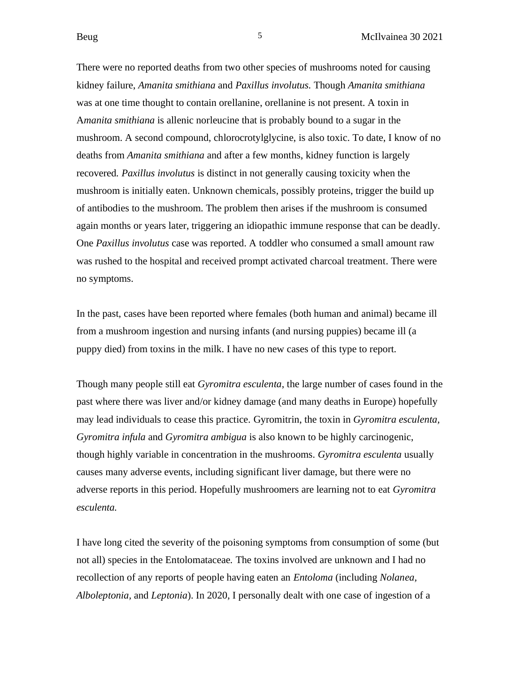There were no reported deaths from two other species of mushrooms noted for causing kidney failure, *Amanita smithiana* and *Paxillus involutus.* Though *Amanita smithiana* was at one time thought to contain orellanine, orellanine is not present. A toxin in A*manita smithiana* is allenic norleucine that is probably bound to a sugar in the mushroom. A second compound, chlorocrotylglycine, is also toxic. To date, I know of no deaths from *Amanita smithiana* and after a few months, kidney function is largely recovered*. Paxillus involutus* is distinct in not generally causing toxicity when the mushroom is initially eaten. Unknown chemicals, possibly proteins, trigger the build up of antibodies to the mushroom. The problem then arises if the mushroom is consumed again months or years later, triggering an idiopathic immune response that can be deadly. One *Paxillus involutus* case was reported. A toddler who consumed a small amount raw was rushed to the hospital and received prompt activated charcoal treatment. There were no symptoms.

In the past, cases have been reported where females (both human and animal) became ill from a mushroom ingestion and nursing infants (and nursing puppies) became ill (a puppy died) from toxins in the milk. I have no new cases of this type to report.

Though many people still eat *Gyromitra esculenta*, the large number of cases found in the past where there was liver and/or kidney damage (and many deaths in Europe) hopefully may lead individuals to cease this practice. Gyromitrin, the toxin in *Gyromitra esculenta, Gyromitra infula* and *Gyromitra ambigua* is also known to be highly carcinogenic, though highly variable in concentration in the mushrooms. *Gyromitra esculenta* usually causes many adverse events, including significant liver damage, but there were no adverse reports in this period. Hopefully mushroomers are learning not to eat *Gyromitra esculenta.*

I have long cited the severity of the poisoning symptoms from consumption of some (but not all) species in the Entolomataceae*.* The toxins involved are unknown and I had no recollection of any reports of people having eaten an *Entoloma* (including *Nolanea, Alboleptonia,* and *Leptonia*). In 2020, I personally dealt with one case of ingestion of a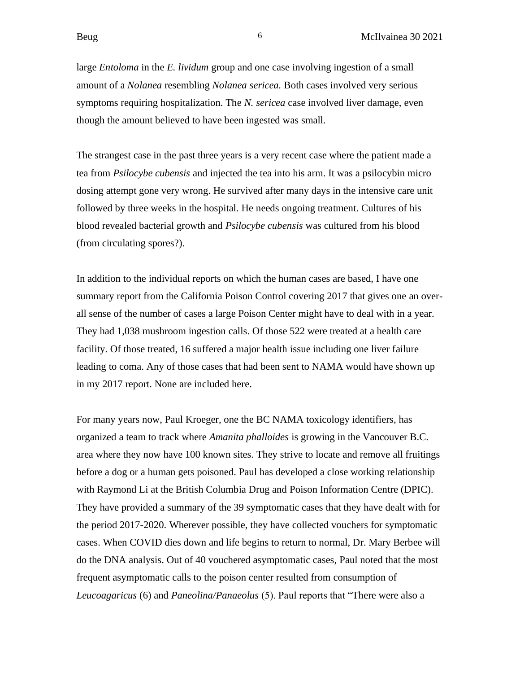large *Entoloma* in the *E. lividum* group and one case involving ingestion of a small amount of a *Nolanea* resembling *Nolanea sericea.* Both cases involved very serious symptoms requiring hospitalization. The *N. sericea* case involved liver damage, even though the amount believed to have been ingested was small.

The strangest case in the past three years is a very recent case where the patient made a tea from *Psilocybe cubensis* and injected the tea into his arm. It was a psilocybin micro dosing attempt gone very wrong. He survived after many days in the intensive care unit followed by three weeks in the hospital. He needs ongoing treatment. Cultures of his blood revealed bacterial growth and *Psilocybe cubensis* was cultured from his blood (from circulating spores?).

In addition to the individual reports on which the human cases are based, I have one summary report from the California Poison Control covering 2017 that gives one an overall sense of the number of cases a large Poison Center might have to deal with in a year. They had 1,038 mushroom ingestion calls. Of those 522 were treated at a health care facility. Of those treated, 16 suffered a major health issue including one liver failure leading to coma. Any of those cases that had been sent to NAMA would have shown up in my 2017 report. None are included here.

For many years now, Paul Kroeger, one the BC NAMA toxicology identifiers, has organized a team to track where *Amanita phalloides* is growing in the Vancouver B.C. area where they now have 100 known sites. They strive to locate and remove all fruitings before a dog or a human gets poisoned. Paul has developed a close working relationship with Raymond Li at the British Columbia Drug and Poison Information Centre (DPIC). They have provided a summary of the 39 symptomatic cases that they have dealt with for the period 2017-2020. Wherever possible, they have collected vouchers for symptomatic cases. When COVID dies down and life begins to return to normal, Dr. Mary Berbee will do the DNA analysis. Out of 40 vouchered asymptomatic cases, Paul noted that the most frequent asymptomatic calls to the poison center resulted from consumption of *Leucoagaricus* (6) and *Paneolina/Panaeolus* (5). Paul reports that "There were also a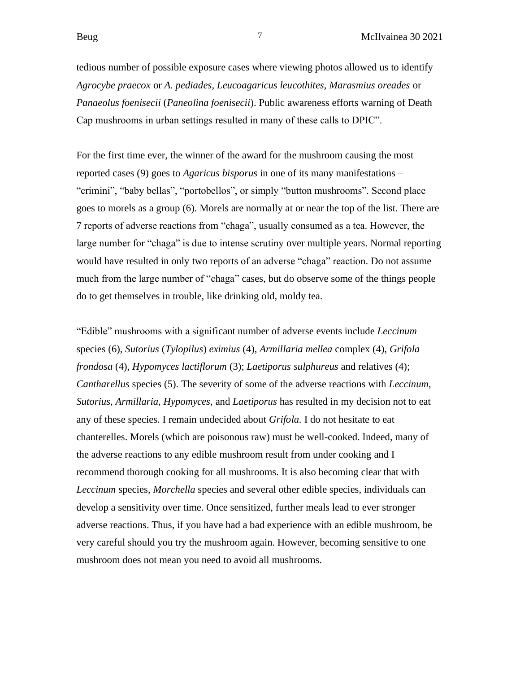tedious number of possible exposure cases where viewing photos allowed us to identify *Agrocybe praecox* or *A. pediades, Leucoagaricus leucothites, Marasmius oreades* or *Panaeolus foenisecii* (*Paneolina foenisecii*). Public awareness efforts warning of Death Cap mushrooms in urban settings resulted in many of these calls to DPIC".

For the first time ever, the winner of the award for the mushroom causing the most reported cases (9) goes to *Agaricus bisporus* in one of its many manifestations – "crimini", "baby bellas", "portobellos", or simply "button mushrooms". Second place goes to morels as a group (6). Morels are normally at or near the top of the list. There are 7 reports of adverse reactions from "chaga", usually consumed as a tea. However, the large number for "chaga" is due to intense scrutiny over multiple years. Normal reporting would have resulted in only two reports of an adverse "chaga" reaction. Do not assume much from the large number of "chaga" cases, but do observe some of the things people do to get themselves in trouble, like drinking old, moldy tea.

"Edible" mushrooms with a significant number of adverse events include *Leccinum* species (6), *Sutorius* (*Tylopilus*) *eximius* (4), *Armillaria mellea* complex (4), *Grifola frondosa* (4), *Hypomyces lactiflorum* (3); *Laetiporus sulphureus* and relatives (4); *Cantharellus* species (5). The severity of some of the adverse reactions with *Leccinum, Sutorius, Armillaria, Hypomyces,* and *Laetiporus* has resulted in my decision not to eat any of these species. I remain undecided about *Grifola.* I do not hesitate to eat chanterelles. Morels (which are poisonous raw) must be well-cooked. Indeed, many of the adverse reactions to any edible mushroom result from under cooking and I recommend thorough cooking for all mushrooms. It is also becoming clear that with *Leccinum* species, *Morchella* species and several other edible species, individuals can develop a sensitivity over time. Once sensitized, further meals lead to ever stronger adverse reactions. Thus, if you have had a bad experience with an edible mushroom, be very careful should you try the mushroom again. However, becoming sensitive to one mushroom does not mean you need to avoid all mushrooms.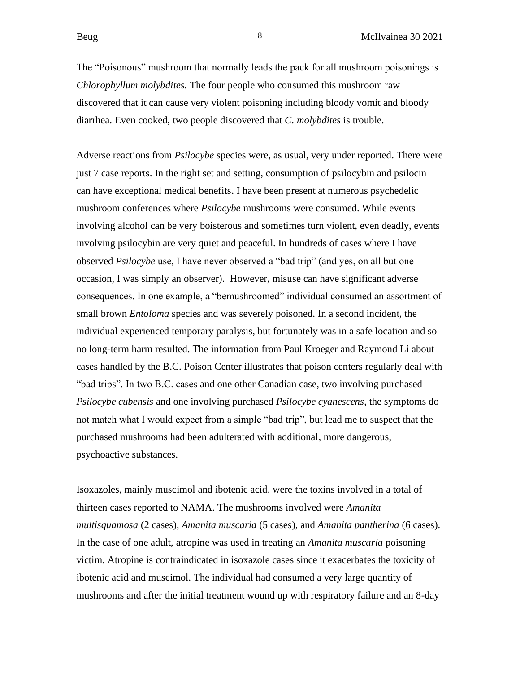The "Poisonous" mushroom that normally leads the pack for all mushroom poisonings is *Chlorophyllum molybdites.* The four people who consumed this mushroom raw discovered that it can cause very violent poisoning including bloody vomit and bloody diarrhea. Even cooked, two people discovered that *C. molybdites* is trouble.

Adverse reactions from *Psilocybe* species were, as usual, very under reported. There were just 7 case reports. In the right set and setting, consumption of psilocybin and psilocin can have exceptional medical benefits. I have been present at numerous psychedelic mushroom conferences where *Psilocybe* mushrooms were consumed. While events involving alcohol can be very boisterous and sometimes turn violent, even deadly, events involving psilocybin are very quiet and peaceful. In hundreds of cases where I have observed *Psilocybe* use, I have never observed a "bad trip" (and yes, on all but one occasion, I was simply an observer). However, misuse can have significant adverse consequences. In one example, a "bemushroomed" individual consumed an assortment of small brown *Entoloma* species and was severely poisoned. In a second incident, the individual experienced temporary paralysis, but fortunately was in a safe location and so no long-term harm resulted. The information from Paul Kroeger and Raymond Li about cases handled by the B.C. Poison Center illustrates that poison centers regularly deal with "bad trips". In two B.C. cases and one other Canadian case, two involving purchased *Psilocybe cubensis* and one involving purchased *Psilocybe cyanescens*, the symptoms do not match what I would expect from a simple "bad trip", but lead me to suspect that the purchased mushrooms had been adulterated with additional, more dangerous, psychoactive substances.

Isoxazoles, mainly muscimol and ibotenic acid, were the toxins involved in a total of thirteen cases reported to NAMA. The mushrooms involved were *Amanita multisquamosa* (2 cases), *Amanita muscaria* (5 cases), and *Amanita pantherina* (6 cases). In the case of one adult, atropine was used in treating an *Amanita muscaria* poisoning victim. Atropine is contraindicated in isoxazole cases since it exacerbates the toxicity of ibotenic acid and muscimol. The individual had consumed a very large quantity of mushrooms and after the initial treatment wound up with respiratory failure and an 8-day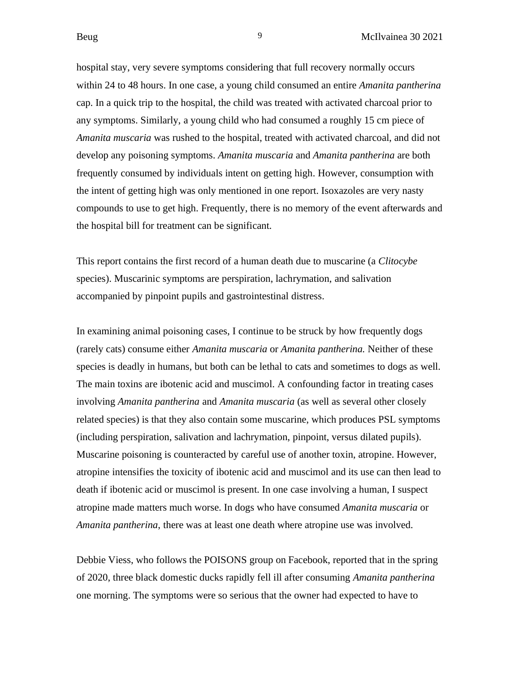hospital stay, very severe symptoms considering that full recovery normally occurs within 24 to 48 hours. In one case, a young child consumed an entire *Amanita pantherina*  cap. In a quick trip to the hospital, the child was treated with activated charcoal prior to any symptoms. Similarly, a young child who had consumed a roughly 15 cm piece of *Amanita muscaria* was rushed to the hospital, treated with activated charcoal, and did not develop any poisoning symptoms. *Amanita muscaria* and *Amanita pantherina* are both frequently consumed by individuals intent on getting high. However, consumption with the intent of getting high was only mentioned in one report. Isoxazoles are very nasty compounds to use to get high. Frequently, there is no memory of the event afterwards and the hospital bill for treatment can be significant.

This report contains the first record of a human death due to muscarine (a *Clitocybe*  species). Muscarinic symptoms are perspiration, lachrymation, and salivation accompanied by pinpoint pupils and gastrointestinal distress.

In examining animal poisoning cases, I continue to be struck by how frequently dogs (rarely cats) consume either *Amanita muscaria* or *Amanita pantherina.* Neither of these species is deadly in humans, but both can be lethal to cats and sometimes to dogs as well. The main toxins are ibotenic acid and muscimol. A confounding factor in treating cases involving *Amanita pantherina* and *Amanita muscaria* (as well as several other closely related species) is that they also contain some muscarine, which produces PSL symptoms (including perspiration, salivation and lachrymation, pinpoint, versus dilated pupils). Muscarine poisoning is counteracted by careful use of another toxin, atropine. However, atropine intensifies the toxicity of ibotenic acid and muscimol and its use can then lead to death if ibotenic acid or muscimol is present. In one case involving a human, I suspect atropine made matters much worse. In dogs who have consumed *Amanita muscaria* or *Amanita pantherina*, there was at least one death where atropine use was involved.

Debbie Viess, who follows the POISONS group on Facebook, reported that in the spring of 2020, three black domestic ducks rapidly fell ill after consuming *Amanita pantherina*  one morning. The symptoms were so serious that the owner had expected to have to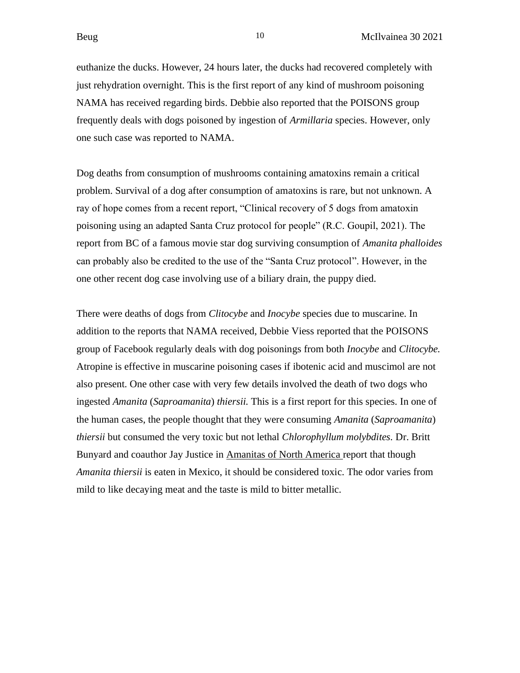euthanize the ducks. However, 24 hours later, the ducks had recovered completely with just rehydration overnight. This is the first report of any kind of mushroom poisoning NAMA has received regarding birds. Debbie also reported that the POISONS group frequently deals with dogs poisoned by ingestion of *Armillaria* species. However, only one such case was reported to NAMA.

Dog deaths from consumption of mushrooms containing amatoxins remain a critical problem. Survival of a dog after consumption of amatoxins is rare, but not unknown. A ray of hope comes from a recent report, "Clinical recovery of 5 dogs from amatoxin poisoning using an adapted Santa Cruz protocol for people" (R.C. Goupil, 2021). The report from BC of a famous movie star dog surviving consumption of *Amanita phalloides*  can probably also be credited to the use of the "Santa Cruz protocol". However, in the one other recent dog case involving use of a biliary drain, the puppy died.

There were deaths of dogs from *Clitocybe* and *Inocybe* species due to muscarine. In addition to the reports that NAMA received, Debbie Viess reported that the POISONS group of Facebook regularly deals with dog poisonings from both *Inocybe* and *Clitocybe.*  Atropine is effective in muscarine poisoning cases if ibotenic acid and muscimol are not also present. One other case with very few details involved the death of two dogs who ingested *Amanita* (*Saproamanita*) *thiersii.* This is a first report for this species. In one of the human cases, the people thought that they were consuming *Amanita* (*Saproamanita*) *thiersii* but consumed the very toxic but not lethal *Chlorophyllum molybdites.* Dr. Britt Bunyard and coauthor Jay Justice in Amanitas of North America report that though *Amanita thiersii* is eaten in Mexico, it should be considered toxic. The odor varies from mild to like decaying meat and the taste is mild to bitter metallic.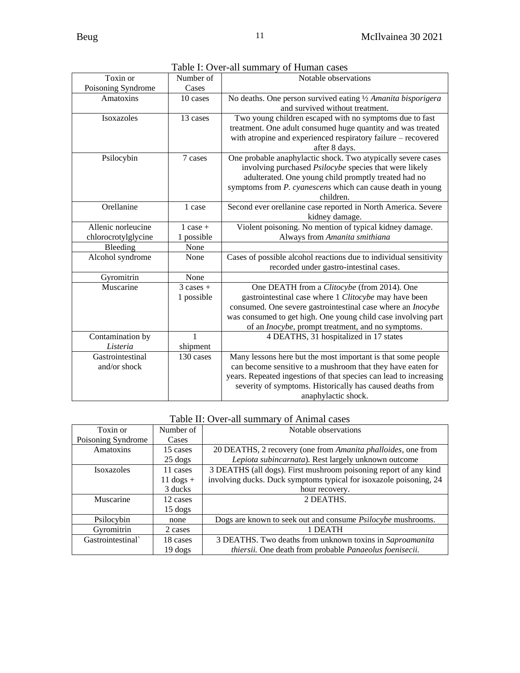|                     |                      | I acie I. O ver-ail suillinai y oi Tiullian cases                  |
|---------------------|----------------------|--------------------------------------------------------------------|
| Toxin or            | Number of            | Notable observations                                               |
| Poisoning Syndrome  | Cases                |                                                                    |
| Amatoxins           | 10 cases             | No deaths. One person survived eating 1/2 Amanita bisporigera      |
|                     |                      | and survived without treatment.                                    |
| Isoxazoles          | 13 cases             | Two young children escaped with no symptoms due to fast            |
|                     |                      | treatment. One adult consumed huge quantity and was treated        |
|                     |                      | with atropine and experienced respiratory failure – recovered      |
|                     |                      | after 8 days.                                                      |
| Psilocybin          | 7 cases              | One probable anaphylactic shock. Two atypically severe cases       |
|                     |                      | involving purchased <i>Psilocybe</i> species that were likely      |
|                     |                      | adulterated. One young child promptly treated had no               |
|                     |                      | symptoms from P. cyanescens which can cause death in young         |
|                     |                      | children.                                                          |
| Orellanine          | 1 case               | Second ever orellanine case reported in North America. Severe      |
|                     |                      |                                                                    |
|                     |                      | kidney damage.                                                     |
| Allenic norleucine  | $1 \text{ case} +$   | Violent poisoning. No mention of typical kidney damage.            |
| chlorocrotylglycine | 1 possible           | Always from Amanita smithiana                                      |
| Bleeding            | None                 |                                                                    |
| Alcohol syndrome    | None                 | Cases of possible alcohol reactions due to individual sensitivity  |
|                     |                      | recorded under gastro-intestinal cases.                            |
| Gyromitrin          | None                 |                                                                    |
| Muscarine           | $3 \text{ cases } +$ | One DEATH from a Clitocybe (from 2014). One                        |
|                     | 1 possible           | gastrointestinal case where 1 Clitocybe may have been              |
|                     |                      | consumed. One severe gastrointestinal case where an <i>Inocybe</i> |
|                     |                      | was consumed to get high. One young child case involving part      |
|                     |                      | of an <i>Inocybe</i> , prompt treatment, and no symptoms.          |
| Contamination by    | $\mathbf{1}$         | 4 DEATHS, 31 hospitalized in 17 states                             |
| Listeria            | shipment             |                                                                    |
| Gastrointestinal    | 130 cases            | Many lessons here but the most important is that some people       |
| and/or shock        |                      | can become sensitive to a mushroom that they have eaten for        |
|                     |                      | years. Repeated ingestions of that species can lead to increasing  |
|                     |                      | severity of symptoms. Historically has caused deaths from          |
|                     |                      | anaphylactic shock.                                                |
|                     |                      |                                                                    |

|  | Table I: Over-all summary of Human cases |
|--|------------------------------------------|
|--|------------------------------------------|

# Table II: Over-all summary of Animal cases

| Toxin or           | Number of           | Notable observations                                               |
|--------------------|---------------------|--------------------------------------------------------------------|
| Poisoning Syndrome | Cases               |                                                                    |
| Amatoxins          | 15 cases            | 20 DEATHS, 2 recovery (one from Amanita phalloides, one from       |
|                    | $25 \text{ dogs}$   | Lepiota subincarnata). Rest largely unknown outcome                |
| <b>Isoxazoles</b>  | 11 cases            | 3 DEATHS (all dogs). First mushroom poisoning report of any kind   |
|                    | $11 \text{ dogs} +$ | involving ducks. Duck symptoms typical for isoxazole poisoning, 24 |
|                    | 3 ducks             | hour recovery.                                                     |
| Muscarine          | 12 cases            | 2 DEATHS.                                                          |
|                    | $15 \text{ dogs}$   |                                                                    |
| Psilocybin         | none                | Dogs are known to seek out and consume <i>Psilocybe</i> mushrooms. |
| Gyromitrin         | 2 cases             | 1 DEATH                                                            |
| Gastrointestinal   | 18 cases            | 3 DEATHS. Two deaths from unknown toxins in Saproamanita           |
|                    | $19 \text{ dogs}$   | thiersii. One death from probable Panaeolus foenisecii.            |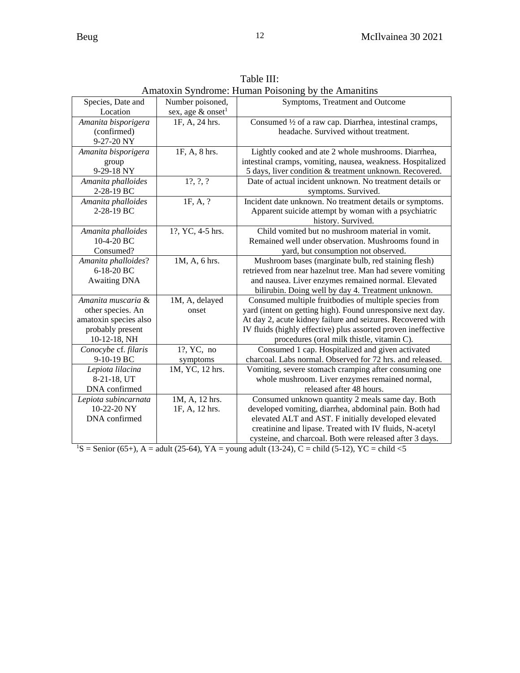|                       |                               | Amatoxin Syndrome. Human Forsoning by the Amamuns             |
|-----------------------|-------------------------------|---------------------------------------------------------------|
| Species, Date and     | Number poisoned,              | Symptoms, Treatment and Outcome                               |
| Location              | sex, age & onset <sup>1</sup> |                                                               |
| Amanita bisporigera   | 1F, A, 24 hrs.                | Consumed 1/2 of a raw cap. Diarrhea, intestinal cramps,       |
| (confirmed)           |                               | headache. Survived without treatment.                         |
| 9-27-20 NY            |                               |                                                               |
| Amanita bisporigera   | 1F, A, 8 hrs.                 | Lightly cooked and ate 2 whole mushrooms. Diarrhea,           |
| group                 |                               | intestinal cramps, vomiting, nausea, weakness. Hospitalized   |
| 9-29-18 NY            |                               | 5 days, liver condition & treatment unknown. Recovered.       |
| Amanita phalloides    | $1?$ , $?$ , $?$              | Date of actual incident unknown. No treatment details or      |
| 2-28-19 BC            |                               | symptoms. Survived.                                           |
| Amanita phalloides    | 1F, A, ?                      | Incident date unknown. No treatment details or symptoms.      |
| 2-28-19 BC            |                               | Apparent suicide attempt by woman with a psychiatric          |
|                       |                               | history. Survived.                                            |
| Amanita phalloides    | 1?, YC, 4-5 hrs.              | Child vomited but no mushroom material in vomit.              |
| 10-4-20 BC            |                               | Remained well under observation. Mushrooms found in           |
| Consumed?             |                               | yard, but consumption not observed.                           |
| Amanita phalloides?   | 1M, A, 6 hrs.                 | Mushroom bases (marginate bulb, red staining flesh)           |
| 6-18-20 BC            |                               | retrieved from near hazelnut tree. Man had severe vomiting    |
| <b>Awaiting DNA</b>   |                               | and nausea. Liver enzymes remained normal. Elevated           |
|                       |                               | bilirubin. Doing well by day 4. Treatment unknown.            |
| Amanita muscaria &    | 1M, A, delayed                | Consumed multiple fruitbodies of multiple species from        |
| other species. An     | onset                         | yard (intent on getting high). Found unresponsive next day.   |
| amatoxin species also |                               | At day 2, acute kidney failure and seizures. Recovered with   |
| probably present      |                               | IV fluids (highly effective) plus assorted proven ineffective |
| 10-12-18, NH          |                               | procedures (oral milk thistle, vitamin C).                    |
| Conocybe cf. filaris  | 1?, YC, no                    | Consumed 1 cap. Hospitalized and given activated              |
| 9-10-19 BC            | symptoms                      | charcoal. Labs normal. Observed for 72 hrs. and released.     |
| Lepiota lilacina      | 1M, YC, 12 hrs.               | Vomiting, severe stomach cramping after consuming one         |
| 8-21-18, UT           |                               | whole mushroom. Liver enzymes remained normal,                |
| DNA confirmed         |                               | released after 48 hours.                                      |
| Lepiota subincarnata  | 1M, A, 12 hrs.                | Consumed unknown quantity 2 meals same day. Both              |
| 10-22-20 NY           | 1F, A, 12 hrs.                | developed vomiting, diarrhea, abdominal pain. Both had        |
| DNA confirmed         |                               | elevated ALT and AST. F initially developed elevated          |
|                       |                               | creatinine and lipase. Treated with IV fluids, N-acetyl       |
|                       |                               | cysteine, and charcoal. Both were released after 3 days.      |

| Table III:                                          |
|-----------------------------------------------------|
| Amatoxin Syndrome: Human Poisoning by the Amanitins |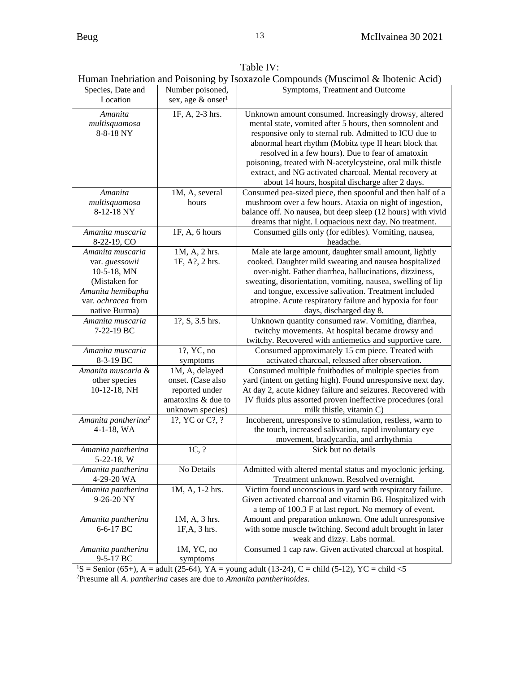Table IV: Human Inebriation and Poisoning by Isoxazole Compounds (Muscimol & Ibotenic Acid)

| Species, Date and                | Number poisoned,              | Symptoms, Treatment and Outcome                              |
|----------------------------------|-------------------------------|--------------------------------------------------------------|
| Location                         | sex, age & onset <sup>1</sup> |                                                              |
| Amanita                          | 1F, A, 2-3 hrs.               | Unknown amount consumed. Increasingly drowsy, altered        |
|                                  |                               | mental state, vomited after 5 hours, then somnolent and      |
| multisquamosa                    |                               |                                                              |
| 8-8-18 NY                        |                               | responsive only to sternal rub. Admitted to ICU due to       |
|                                  |                               | abnormal heart rhythm (Mobitz type II heart block that       |
|                                  |                               | resolved in a few hours). Due to fear of amatoxin            |
|                                  |                               | poisoning, treated with N-acetylcysteine, oral milk thistle  |
|                                  |                               | extract, and NG activated charcoal. Mental recovery at       |
|                                  |                               | about 14 hours, hospital discharge after 2 days.             |
| Amanita                          | 1M, A, several                | Consumed pea-sized piece, then spoonful and then half of a   |
| multisquamosa                    | hours                         | mushroom over a few hours. Ataxia on night of ingestion,     |
| 8-12-18 NY                       |                               | balance off. No nausea, but deep sleep (12 hours) with vivid |
|                                  |                               | dreams that night. Loquacious next day. No treatment.        |
| Amanita muscaria                 | 1F, A, 6 hours                | Consumed gills only (for edibles). Vomiting, nausea,         |
| 8-22-19, CO                      |                               | headache.                                                    |
| Amanita muscaria                 | 1M, A, 2 hrs.                 | Male ate large amount, daughter small amount, lightly        |
| var. guessowii                   | 1F, A?, 2 hrs.                | cooked. Daughter mild sweating and nausea hospitalized       |
| $10-5-18$ , MN                   |                               | over-night. Father diarrhea, hallucinations, dizziness,      |
| (Mistaken for                    |                               | sweating, disorientation, vomiting, nausea, swelling of lip  |
| Amanita hemibapha                |                               | and tongue, excessive salivation. Treatment included         |
| var. ochracea from               |                               | atropine. Acute respiratory failure and hypoxia for four     |
| native Burma)                    |                               | days, discharged day 8.                                      |
| Amanita muscaria                 | 1?, S, 3.5 hrs.               | Unknown quantity consumed raw. Vomiting, diarrhea,           |
| 7-22-19 BC                       |                               | twitchy movements. At hospital became drowsy and             |
|                                  |                               | twitchy. Recovered with antiemetics and supportive care.     |
| Amanita muscaria                 | 1?, YC, no                    | Consumed approximately 15 cm piece. Treated with             |
|                                  |                               |                                                              |
| 8-3-19 BC                        | symptoms                      | activated charcoal, released after observation.              |
| Amanita muscaria &               | 1M, A, delayed                | Consumed multiple fruitbodies of multiple species from       |
| other species                    | onset. (Case also             | yard (intent on getting high). Found unresponsive next day.  |
| 10-12-18, NH                     | reported under                | At day 2, acute kidney failure and seizures. Recovered with  |
|                                  | amatoxins & due to            | IV fluids plus assorted proven ineffective procedures (oral  |
|                                  | unknown species)              | milk thistle, vitamin C)                                     |
| Amanita pantherina <sup>2</sup>  | 1?, YC or C?, ?               | Incoherent, unresponsive to stimulation, restless, warm to   |
| $4-1-18$ , WA                    |                               | the touch, increased salivation, rapid involuntary eye       |
|                                  |                               | movement, bradycardia, and arrhythmia                        |
| Amanita pantherina<br>5-22-18, W | 1C, ?                         | Sick but no details                                          |
| Amanita pantherina               | No Details                    | Admitted with altered mental status and myoclonic jerking.   |
| 4-29-20 WA                       |                               | Treatment unknown. Resolved overnight.                       |
| Amanita pantherina               | 1M, A, 1-2 hrs.               | Victim found unconscious in yard with respiratory failure.   |
| 9-26-20 NY                       |                               | Given activated charcoal and vitamin B6. Hospitalized with   |
|                                  |                               | a temp of 100.3 F at last report. No memory of event.        |
| Amanita pantherina               | 1M, A, 3 hrs.                 | Amount and preparation unknown. One adult unresponsive       |
| 6-6-17 BC                        | 1F,A, 3 hrs.                  | with some muscle twitching. Second adult brought in later    |
|                                  |                               | weak and dizzy. Labs normal.                                 |
| Amanita pantherina               | 1M, YC, no                    | Consumed 1 cap raw. Given activated charcoal at hospital.    |
| 9-5-17 BC                        | symptoms                      |                                                              |
|                                  |                               |                                                              |

 ${}^{1}S$  = Senior (65+), A = adult (25-64), YA = young adult (13-24), C = child (5-12), YC = child <5 <sup>2</sup>Presume all *A. pantherina* cases are due to *Amanita pantherinoides.*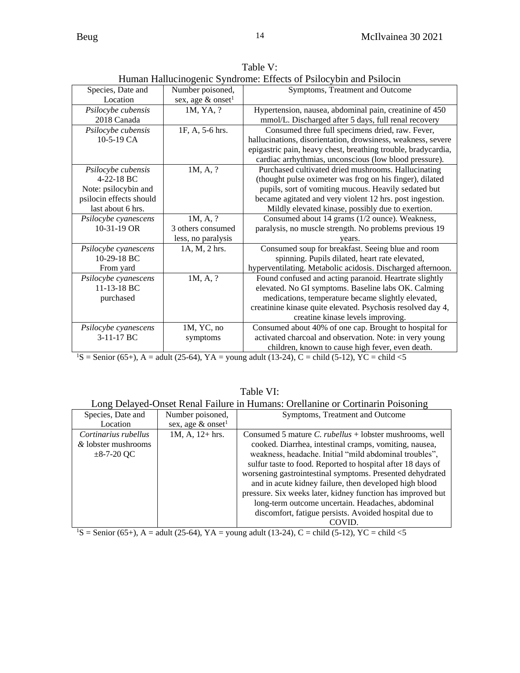|                         |                               | Trainan Francomogenic Dynafolite. Effects of F shocyoni and F shochi |
|-------------------------|-------------------------------|----------------------------------------------------------------------|
| Species, Date and       | Number poisoned,              | Symptoms, Treatment and Outcome                                      |
| Location                | sex, age & onset <sup>1</sup> |                                                                      |
| Psilocybe cubensis      | 1M, YA, ?                     | Hypertension, nausea, abdominal pain, creatinine of 450              |
| 2018 Canada             |                               | mmol/L. Discharged after 5 days, full renal recovery                 |
| Psilocybe cubensis      | 1F, A, 5-6 hrs.               | Consumed three full specimens dried, raw. Fever,                     |
| $10-5-19$ CA            |                               | hallucinations, disorientation, drowsiness, weakness, severe         |
|                         |                               | epigastric pain, heavy chest, breathing trouble, bradycardia,        |
|                         |                               | cardiac arrhythmias, unconscious (low blood pressure).               |
| Psilocybe cubensis      | 1M, A, ?                      | Purchased cultivated dried mushrooms. Hallucinating                  |
| 4-22-18 BC              |                               | (thought pulse oximeter was frog on his finger), dilated             |
| Note: psilocybin and    |                               | pupils, sort of vomiting mucous. Heavily sedated but                 |
| psilocin effects should |                               | became agitated and very violent 12 hrs. post ingestion.             |
| last about 6 hrs.       |                               | Mildly elevated kinase, possibly due to exertion.                    |
| Psilocybe cyanescens    | 1M, A, ?                      | Consumed about 14 grams (1/2 ounce). Weakness,                       |
| 10-31-19 OR             | 3 others consumed             | paralysis, no muscle strength. No problems previous 19               |
|                         | less, no paralysis            | vears.                                                               |
| Psilocybe cyanescens    | 1A, M, 2 hrs.                 | Consumed soup for breakfast. Seeing blue and room                    |
| 10-29-18 BC             |                               | spinning. Pupils dilated, heart rate elevated,                       |
| From yard               |                               | hyperventilating. Metabolic acidosis. Discharged afternoon.          |
| Psilocybe cyanescens    | 1M, A, ?                      | Found confused and acting paranoid. Heartrate slightly               |
| 11-13-18 BC             |                               | elevated. No GI symptoms. Baseline labs OK. Calming                  |
| purchased               |                               | medications, temperature became slightly elevated,                   |
|                         |                               | creatinine kinase quite elevated. Psychosis resolved day 4,          |
|                         |                               | creatine kinase levels improving.                                    |
| Psilocybe cyanescens    | 1M, YC, no                    | Consumed about 40% of one cap. Brought to hospital for               |
|                         |                               |                                                                      |
| 3-11-17 BC              | symptoms                      | activated charcoal and observation. Note: in very young              |

Table V: Human Hallucinogenic Syndrome: Effects of Psilocybin and Psilocin

Table VI:

|  |  |  |  | Long Delayed-Onset Renal Failure in Humans: Orellanine or Cortinarin Poisoning |  |  |  |  |
|--|--|--|--|--------------------------------------------------------------------------------|--|--|--|--|

| Species, Date and    | Number poisoned,                 | Symptoms, Treatment and Outcome                                |
|----------------------|----------------------------------|----------------------------------------------------------------|
| Location             | sex, age $\&$ onset <sup>1</sup> |                                                                |
| Cortinarius rubellus | $1M, A, 12 + hrs.$               | Consumed 5 mature C. <i>rubellus</i> + lobster mushrooms, well |
| & lobster mushrooms  |                                  | cooked. Diarrhea, intestinal cramps, vomiting, nausea,         |
| $\pm 8 - 7 - 20$ OC  |                                  | weakness, headache. Initial "mild abdominal troubles",         |
|                      |                                  | sulfur taste to food. Reported to hospital after 18 days of    |
|                      |                                  | worsening gastrointestinal symptoms. Presented dehydrated      |
|                      |                                  | and in acute kidney failure, then developed high blood         |
|                      |                                  | pressure. Six weeks later, kidney function has improved but    |
|                      |                                  | long-term outcome uncertain. Headaches, abdominal              |
|                      |                                  | discomfort, fatigue persists. Avoided hospital due to          |
|                      |                                  |                                                                |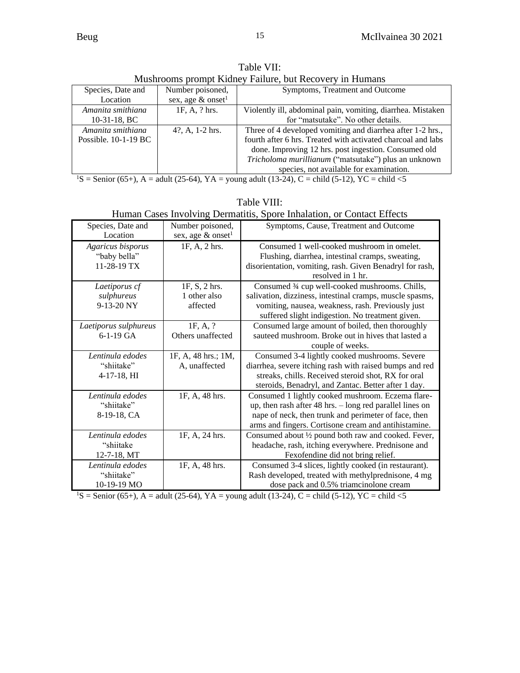| MUSHFOOHIS prompt Kidney Familie, but Recovery in Humans |                                  |                                                              |  |  |
|----------------------------------------------------------|----------------------------------|--------------------------------------------------------------|--|--|
| Species, Date and                                        | Number poisoned,                 | Symptoms, Treatment and Outcome                              |  |  |
| Location                                                 | sex, age $\&$ onset <sup>1</sup> |                                                              |  |  |
| Amanita smithiana                                        | $1F, A, ?$ hrs.                  | Violently ill, abdominal pain, vomiting, diarrhea. Mistaken  |  |  |
| $10-31-18$ , BC                                          |                                  | for "matsutake". No other details.                           |  |  |
| Amanita smithiana                                        | 4?, A, $1-2$ hrs.                | Three of 4 developed vomiting and diarrhea after 1-2 hrs.,   |  |  |
| Possible. $10-1-19$ BC                                   |                                  | fourth after 6 hrs. Treated with activated charcoal and labs |  |  |
|                                                          |                                  | done. Improving 12 hrs. post ingestion. Consumed old         |  |  |
|                                                          |                                  | Tricholoma murillianum ("matsutake") plus an unknown         |  |  |
|                                                          |                                  | species, not available for examination.                      |  |  |
|                                                          |                                  |                                                              |  |  |

Table VII: Mushrooms prompt Kidney Failure, but Recovery in Humans

|                           |                                  | Human Cases Involving Dermatitis, Spore Inhalation, or Contact Effects                        |
|---------------------------|----------------------------------|-----------------------------------------------------------------------------------------------|
| Species, Date and         | Number poisoned,                 | Symptoms, Cause, Treatment and Outcome                                                        |
| Location                  | sex, age $\&$ onset <sup>1</sup> |                                                                                               |
| Agaricus bisporus         | 1F, A, 2 hrs.                    | Consumed 1 well-cooked mushroom in omelet.                                                    |
| "baby bella"              |                                  | Flushing, diarrhea, intestinal cramps, sweating,                                              |
| 11-28-19 TX               |                                  | disorientation, vomiting, rash. Given Benadryl for rash,                                      |
|                           |                                  | resolved in 1 hr.                                                                             |
| Laetiporus cf             | 1F, S, 2 hrs.                    | Consumed 3⁄4 cup well-cooked mushrooms. Chills,                                               |
| sulphureus                | 1 other also                     | salivation, dizziness, intestinal cramps, muscle spasms,                                      |
| 9-13-20 NY                | affected                         | vomiting, nausea, weakness, rash. Previously just                                             |
|                           |                                  | suffered slight indigestion. No treatment given.                                              |
| Laetiporus sulphureus     | 1F, A, ?                         | Consumed large amount of boiled, then thoroughly                                              |
| $6-1-19$ GA               | Others unaffected                | sauteed mushroom. Broke out in hives that lasted a                                            |
|                           |                                  | couple of weeks.                                                                              |
| Lentinula edodes          | 1F, A, 48 hrs.; 1M,              | Consumed 3-4 lightly cooked mushrooms. Severe                                                 |
|                           |                                  |                                                                                               |
| "shiitake"                | A, unaffected                    | diarrhea, severe itching rash with raised bumps and red                                       |
| $4-17-18$ , HI            |                                  | streaks, chills. Received steroid shot, RX for oral                                           |
|                           |                                  | steroids, Benadryl, and Zantac. Better after 1 day.                                           |
| Lentinula edodes          | 1F, A, 48 hrs.                   | Consumed 1 lightly cooked mushroom. Eczema flare-                                             |
| "shiitake"                |                                  | up, then rash after 48 hrs. - long red parallel lines on                                      |
| 8-19-18, CA               |                                  | nape of neck, then trunk and perimeter of face, then                                          |
|                           |                                  | arms and fingers. Cortisone cream and antihistamine.                                          |
| Lentinula edodes          | 1F, A, 24 hrs.                   | Consumed about 1/2 pound both raw and cooked. Fever,                                          |
| "shiitake                 |                                  | headache, rash, itching everywhere. Prednisone and                                            |
| 12-7-18, MT               |                                  | Fexofendine did not bring relief.                                                             |
| Lentinula edodes          | 1F, A, 48 hrs.                   | Consumed 3-4 slices, lightly cooked (in restaurant).                                          |
| "shiitake"<br>10-19-19 MO |                                  | Rash developed, treated with methylprednisone, 4 mg<br>dose pack and 0.5% triamcinolone cream |

Table VIII:

Human Cases Involving Dermatitis, Spore Inhalation, or Contact Effects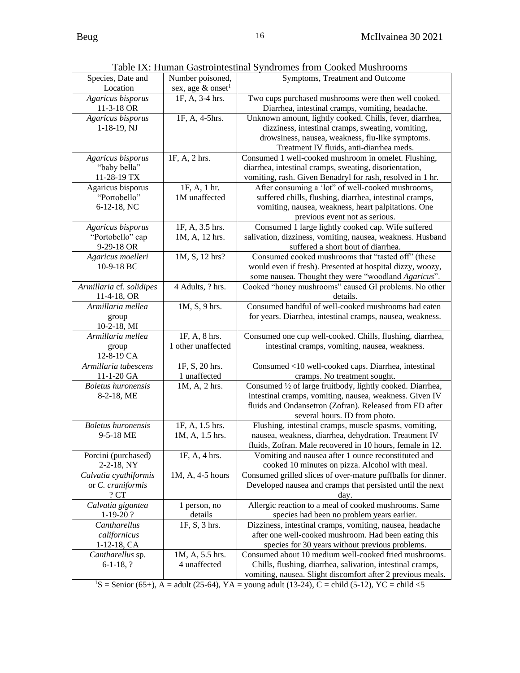| Species, Date and<br>Location                        | Number poisoned,<br>sex, age & onset <sup>1</sup> | Symptoms, Treatment and Outcome                                                                                                                                                                                   |
|------------------------------------------------------|---------------------------------------------------|-------------------------------------------------------------------------------------------------------------------------------------------------------------------------------------------------------------------|
| Agaricus bisporus<br>11-3-18 OR                      | 1F, A, 3-4 hrs.                                   | Two cups purchased mushrooms were then well cooked.<br>Diarrhea, intestinal cramps, vomiting, headache.                                                                                                           |
| Agaricus bisporus<br>$1-18-19$ , NJ                  | 1F, A, 4-5hrs.                                    | Unknown amount, lightly cooked. Chills, fever, diarrhea,<br>dizziness, intestinal cramps, sweating, vomiting,<br>drowsiness, nausea, weakness, flu-like symptoms.<br>Treatment IV fluids, anti-diarrhea meds.     |
| Agaricus bisporus<br>"baby bella"<br>11-28-19 TX     | 1F, A, 2 hrs.                                     | Consumed 1 well-cooked mushroom in omelet. Flushing,<br>diarrhea, intestinal cramps, sweating, disorientation,<br>vomiting, rash. Given Benadryl for rash, resolved in 1 hr.                                      |
| Agaricus bisporus<br>"Portobello"<br>6-12-18, NC     | 1F, A, 1 hr.<br>1M unaffected                     | After consuming a 'lot" of well-cooked mushrooms,<br>suffered chills, flushing, diarrhea, intestinal cramps,<br>vomiting, nausea, weakness, heart palpitations. One<br>previous event not as serious.             |
| Agaricus bisporus<br>"Portobello" cap<br>9-29-18 OR  | 1F, A, 3.5 hrs.<br>1M, A, 12 hrs.                 | Consumed 1 large lightly cooked cap. Wife suffered<br>salivation, dizziness, vomiting, nausea, weakness. Husband<br>suffered a short bout of diarrhea.                                                            |
| Agaricus moelleri<br>10-9-18 BC                      | 1M, S, 12 hrs?                                    | Consumed cooked mushrooms that "tasted off" (these<br>would even if fresh). Presented at hospital dizzy, woozy,<br>some nausea. Thought they were "woodland Agaricus".                                            |
| Armillaria cf. solidipes<br>11-4-18, OR              | 4 Adults, ? hrs.                                  | Cooked "honey mushrooms" caused GI problems. No other<br>details.                                                                                                                                                 |
| Armillaria mellea<br>group<br>10-2-18, MI            | 1M, S, 9 hrs.                                     | Consumed handful of well-cooked mushrooms had eaten<br>for years. Diarrhea, intestinal cramps, nausea, weakness.                                                                                                  |
| Armillaria mellea<br>group<br>12-8-19 CA             | 1F, A, 8 hrs.<br>1 other unaffected               | Consumed one cup well-cooked. Chills, flushing, diarrhea,<br>intestinal cramps, vomiting, nausea, weakness.                                                                                                       |
| Armillaria tabescens<br>11-1-20 GA                   | 1F, S, 20 hrs.<br>1 unaffected                    | Consumed <10 well-cooked caps. Diarrhea, intestinal<br>cramps. No treatment sought.                                                                                                                               |
| <b>Boletus</b> huronensis<br>8-2-18, ME              | 1M, A, 2 hrs.                                     | Consumed 1/2 of large fruitbody, lightly cooked. Diarrhea,<br>intestinal cramps, vomiting, nausea, weakness. Given IV<br>fluids and Ondansetron (Zofran). Released from ED after<br>several hours. ID from photo. |
| <b>Boletus</b> huronensis<br>9-5-18 ME               | 1F, A, 1.5 hrs.<br>1M, A, 1.5 hrs.                | Flushing, intestinal cramps, muscle spasms, vomiting,<br>nausea, weakness, diarrhea, dehydration. Treatment IV<br>fluids, Zofran. Male recovered in 10 hours, female in 12.                                       |
| Porcini (purchased)<br>2-2-18, NY                    | 1F, A, 4 hrs.                                     | Vomiting and nausea after 1 ounce reconstituted and<br>cooked 10 minutes on pizza. Alcohol with meal.                                                                                                             |
| Calvatia cyathiformis<br>or C. craniformis<br>$?$ CT | 1M, A, 4-5 hours                                  | Consumed grilled slices of over-mature puffballs for dinner.<br>Developed nausea and cramps that persisted until the next<br>day.                                                                                 |
| Calvatia gigantea<br>$1-19-20?$                      | 1 person, no<br>details                           | Allergic reaction to a meal of cooked mushrooms. Same<br>species had been no problem years earlier.                                                                                                               |
| Cantharellus<br>californicus<br>$1-12-18$ , CA       | 1F, S, 3 hrs.                                     | Dizziness, intestinal cramps, vomiting, nausea, headache<br>after one well-cooked mushroom. Had been eating this<br>species for 30 years without previous problems.                                               |
| Cantharellus sp.<br>$6-1-18, ?$                      | 1M, A, 5.5 hrs.<br>4 unaffected                   | Consumed about 10 medium well-cooked fried mushrooms.<br>Chills, flushing, diarrhea, salivation, intestinal cramps,<br>vomiting, nausea. Slight discomfort after 2 previous meals.                                |

Table IX: Human Gastrointestinal Syndromes from Cooked Mushrooms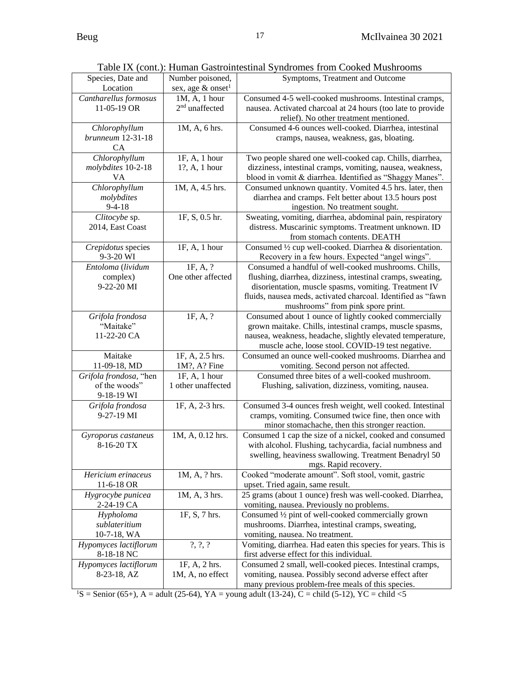Table IX (cont.): Human Gastrointestinal Syndromes from Cooked Mushrooms

| Species, Date and                                     | Number poisoned,                              | Symptoms, Treatment and Outcome                                                                                                                                                                                                                                                   |
|-------------------------------------------------------|-----------------------------------------------|-----------------------------------------------------------------------------------------------------------------------------------------------------------------------------------------------------------------------------------------------------------------------------------|
| Location                                              | sex, age $\&$ onset <sup>1</sup>              |                                                                                                                                                                                                                                                                                   |
| Cantharellus formosus<br>11-05-19 OR                  | $1M, A, 1$ hour<br>2 <sup>nd</sup> unaffected | Consumed 4-5 well-cooked mushrooms. Intestinal cramps,<br>nausea. Activated charcoal at 24 hours (too late to provide<br>relief). No other treatment mentioned.                                                                                                                   |
| Chlorophyllum<br>brunneum 12-31-18<br><b>CA</b>       | 1M, A, 6 hrs.                                 | Consumed 4-6 ounces well-cooked. Diarrhea, intestinal<br>cramps, nausea, weakness, gas, bloating.                                                                                                                                                                                 |
| Chlorophyllum                                         | 1F, A, 1 hour                                 | Two people shared one well-cooked cap. Chills, diarrhea,                                                                                                                                                                                                                          |
| molybdites 10-2-18<br>VA                              | 1?, A, 1 hour                                 | dizziness, intestinal cramps, vomiting, nausea, weakness,<br>blood in vomit & diarrhea. Identified as "Shaggy Manes".                                                                                                                                                             |
| Chlorophyllum<br>molybdites<br>$9-4-18$               | 1M, A, 4.5 hrs.                               | Consumed unknown quantity. Vomited 4.5 hrs. later, then<br>diarrhea and cramps. Felt better about 13.5 hours post<br>ingestion. No treatment sought.                                                                                                                              |
| Clitocybe sp.<br>2014, East Coast                     | 1F, S, 0.5 hr.                                | Sweating, vomiting, diarrhea, abdominal pain, respiratory<br>distress. Muscarinic symptoms. Treatment unknown. ID<br>from stomach contents. DEATH                                                                                                                                 |
| Crepidotus species<br>9-3-20 WI                       | 1F, A, 1 hour                                 | Consumed 1/2 cup well-cooked. Diarrhea & disorientation.<br>Recovery in a few hours. Expected "angel wings".                                                                                                                                                                      |
| Entoloma (lividum<br>complex)<br>9-22-20 MI           | 1F, A, ?<br>One other affected                | Consumed a handful of well-cooked mushrooms. Chills,<br>flushing, diarrhea, dizziness, intestinal cramps, sweating,<br>disorientation, muscle spasms, vomiting. Treatment IV<br>fluids, nausea meds, activated charcoal. Identified as "fawn<br>mushrooms" from pink spore print. |
| Grifola frondosa<br>"Maitake"<br>11-22-20 CA          | 1F, A, ?                                      | Consumed about 1 ounce of lightly cooked commercially<br>grown maitake. Chills, intestinal cramps, muscle spasms,<br>nausea, weakness, headache, slightly elevated temperature,<br>muscle ache, loose stool. COVID-19 test negative.                                              |
| Maitake<br>11-09-18, MD                               | 1F, A, 2.5 hrs.<br>1M?, A? Fine               | Consumed an ounce well-cooked mushrooms. Diarrhea and<br>vomiting. Second person not affected.                                                                                                                                                                                    |
| Grifola frondosa, "hen<br>of the woods"<br>9-18-19 WI | 1F, A, 1 hour<br>1 other unaffected           | Consumed three bites of a well-cooked mushroom.<br>Flushing, salivation, dizziness, vomiting, nausea.                                                                                                                                                                             |
| Grifola frondosa<br>9-27-19 MI                        | 1F, A, 2-3 hrs.                               | Consumed 3-4 ounces fresh weight, well cooked. Intestinal<br>cramps, vomiting. Consumed twice fine, then once with<br>minor stomachache, then this stronger reaction.                                                                                                             |
| Gyroporus castaneus<br>8-16-20 TX                     | 1M, A, 0.12 hrs.                              | Consumed 1 cap the size of a nickel, cooked and consumed<br>with alcohol. Flushing, tachycardia, facial numbness and<br>swelling, heaviness swallowing. Treatment Benadryl 50<br>mgs. Rapid recovery.                                                                             |
| Hericium erinaceus<br>11-6-18 OR                      | 1M, A, ? hrs.                                 | Cooked "moderate amount". Soft stool, vomit, gastric<br>upset. Tried again, same result.                                                                                                                                                                                          |
| Hygrocybe punicea<br>2-24-19 CA                       | 1M, A, 3 hrs.                                 | 25 grams (about 1 ounce) fresh was well-cooked. Diarrhea,<br>vomiting, nausea. Previously no problems.                                                                                                                                                                            |
| Hypholoma<br>sublateritium<br>10-7-18, WA             | 1F, S, 7 hrs.                                 | Consumed 1/2 pint of well-cooked commercially grown<br>mushrooms. Diarrhea, intestinal cramps, sweating,<br>vomiting, nausea. No treatment.                                                                                                                                       |
| Hypomyces lactiflorum<br>8-18-18 NC                   | $?$ , $?$ , $?$                               | Vomiting, diarrhea. Had eaten this species for years. This is<br>first adverse effect for this individual.                                                                                                                                                                        |
| Hypomyces lactiflorum<br>8-23-18, AZ                  | 1F, A, 2 hrs.<br>1M, A, no effect             | Consumed 2 small, well-cooked pieces. Intestinal cramps,<br>vomiting, nausea. Possibly second adverse effect after<br>many previous problem-free meals of this species.                                                                                                           |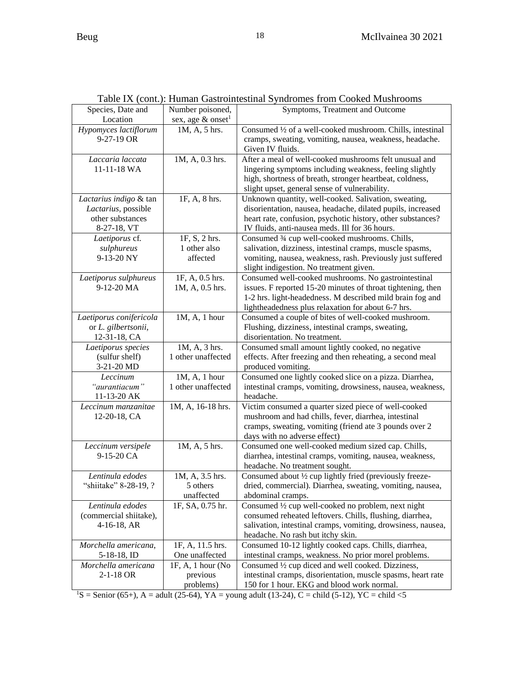| Species, Date and         | Number poisoned,                    | Symptoms, Treatment and Outcome                                         |
|---------------------------|-------------------------------------|-------------------------------------------------------------------------|
| Location                  | sex, age & onset <sup>1</sup>       |                                                                         |
| Hypomyces lactiflorum     | 1M, A, 5 hrs.                       | Consumed 1/2 of a well-cooked mushroom. Chills, intestinal              |
| 9-27-19 OR                |                                     | cramps, sweating, vomiting, nausea, weakness, headache.                 |
|                           |                                     | Given IV fluids.                                                        |
| Laccaria laccata          | 1M, A, 0.3 hrs.                     | After a meal of well-cooked mushrooms felt unusual and                  |
| 11-11-18 WA               |                                     | lingering symptoms including weakness, feeling slightly                 |
|                           |                                     | high, shortness of breath, stronger heartbeat, coldness,                |
|                           |                                     | slight upset, general sense of vulnerability.                           |
| Lactarius indigo & tan    | 1F, A, 8 hrs.                       | Unknown quantity, well-cooked. Salivation, sweating,                    |
| Lactarius, possible       |                                     | disorientation, nausea, headache, dilated pupils, increased             |
| other substances          |                                     | heart rate, confusion, psychotic history, other substances?             |
| 8-27-18, VT               |                                     | IV fluids, anti-nausea meds. Ill for 36 hours.                          |
| Laetiporus cf.            | 1F, S, 2 hrs.                       | Consumed 3⁄4 cup well-cooked mushrooms. Chills,                         |
| sulphureus                | 1 other also                        | salivation, dizziness, intestinal cramps, muscle spasms,                |
| 9-13-20 NY                | affected                            | vomiting, nausea, weakness, rash. Previously just suffered              |
|                           |                                     | slight indigestion. No treatment given.                                 |
| Laetiporus sulphureus     | 1F, A, 0.5 hrs.                     | Consumed well-cooked mushrooms. No gastrointestinal                     |
| 9-12-20 MA                | 1M, A, 0.5 hrs.                     | issues. F reported 15-20 minutes of throat tightening, then             |
|                           |                                     | 1-2 hrs. light-headedness. M described mild brain fog and               |
|                           |                                     | lightheadedness plus relaxation for about 6-7 hrs.                      |
| Laetiporus conifericola   | 1M, A, 1 hour                       | Consumed a couple of bites of well-cooked mushroom.                     |
| or L. gilbertsonii,       |                                     | Flushing, dizziness, intestinal cramps, sweating,                       |
| 12-31-18, CA              |                                     | disorientation. No treatment.                                           |
| Laetiporus species        | 1M, A, 3 hrs.                       | Consumed small amount lightly cooked, no negative                       |
| (sulfur shelf)            | 1 other unaffected                  | effects. After freezing and then reheating, a second meal               |
| 3-21-20 MD                |                                     | produced vomiting.                                                      |
| Leccinum<br>"aurantiacum" | 1M, A, 1 hour<br>1 other unaffected | Consumed one lightly cooked slice on a pizza. Diarrhea,                 |
| 11-13-20 AK               |                                     | intestinal cramps, vomiting, drowsiness, nausea, weakness,<br>headache. |
| Leccinum manzanitae       | 1M, A, 16-18 hrs.                   | Victim consumed a quarter sized piece of well-cooked                    |
| 12-20-18, CA              |                                     | mushroom and had chills, fever, diarrhea, intestinal                    |
|                           |                                     | cramps, sweating, vomiting (friend ate 3 pounds over 2                  |
|                           |                                     | days with no adverse effect)                                            |
| Leccinum versipele        | 1M, A, 5 hrs.                       | Consumed one well-cooked medium sized cap. Chills,                      |
| 9-15-20 CA                |                                     | diarrhea, intestinal cramps, vomiting, nausea, weakness,                |
|                           |                                     | headache. No treatment sought.                                          |
| Lentinula edodes          | 1M, A, 3.5 hrs.                     | Consumed about 1/2 cup lightly fried (previously freeze-                |
| "shiitake" 8-28-19, ?     | 5 others                            | dried, commercial). Diarrhea, sweating, vomiting, nausea,               |
|                           | unaffected                          | abdominal cramps.                                                       |
| Lentinula edodes          | 1F, SA, 0.75 hr.                    | Consumed 1/2 cup well-cooked no problem, next night                     |
| (commercial shiitake),    |                                     | consumed reheated leftovers. Chills, flushing, diarrhea,                |
| 4-16-18, AR               |                                     | salivation, intestinal cramps, vomiting, drowsiness, nausea,            |
|                           |                                     | headache. No rash but itchy skin.                                       |
| Morchella americana,      | 1F, A, 11.5 hrs.                    | Consumed 10-12 lightly cooked caps. Chills, diarrhea,                   |
| 5-18-18, ID               | One unaffected                      | intestinal cramps, weakness. No prior morel problems.                   |
| Morchella americana       | 1F, A, 1 hour (No)                  | Consumed 1/2 cup diced and well cooked. Dizziness,                      |
| 2-1-18 OR                 | previous                            | intestinal cramps, disorientation, muscle spasms, heart rate            |
|                           | problems)                           | 150 for 1 hour. EKG and blood work normal.                              |

Table IX (cont.): Human Gastrointestinal Syndromes from Cooked Mushrooms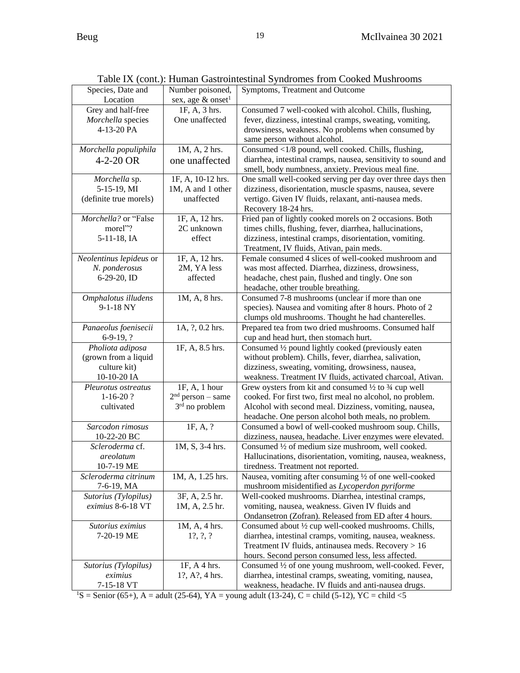| Species, Date and       | Number poisoned,              | Symptoms, Treatment and Outcome                                            |
|-------------------------|-------------------------------|----------------------------------------------------------------------------|
| Location                | sex, age & onset <sup>1</sup> |                                                                            |
| Grey and half-free      | 1F, A, 3 hrs.                 | Consumed 7 well-cooked with alcohol. Chills, flushing,                     |
| Morchella species       | One unaffected                | fever, dizziness, intestinal cramps, sweating, vomiting,                   |
| 4-13-20 PA              |                               | drowsiness, weakness. No problems when consumed by                         |
|                         |                               | same person without alcohol.                                               |
| Morchella populiphila   | 1M, A, 2 hrs.                 | Consumed <1/8 pound, well cooked. Chills, flushing,                        |
| 4-2-20 OR               | one unaffected                | diarrhea, intestinal cramps, nausea, sensitivity to sound and              |
|                         |                               | smell, body numbness, anxiety. Previous meal fine.                         |
| Morchella sp.           | 1F, A, 10-12 hrs.             | One small well-cooked serving per day over three days then                 |
| 5-15-19, MI             | 1M, A and 1 other             | dizziness, disorientation, muscle spasms, nausea, severe                   |
| (definite true morels)  | unaffected                    | vertigo. Given IV fluids, relaxant, anti-nausea meds.                      |
|                         |                               | Recovery 18-24 hrs.                                                        |
| Morchella? or "False    | 1F, A, 12 hrs.                | Fried pan of lightly cooked morels on 2 occasions. Both                    |
| morel"?                 | 2C unknown                    | times chills, flushing, fever, diarrhea, hallucinations,                   |
| $5-11-18$ , IA          | effect                        | dizziness, intestinal cramps, disorientation, vomiting.                    |
|                         |                               | Treatment, IV fluids, Ativan, pain meds.                                   |
| Neolentinus lepideus or | 1F, A, 12 hrs.                | Female consumed 4 slices of well-cooked mushroom and                       |
| N. ponderosus           | 2M, YA less                   | was most affected. Diarrhea, dizziness, drowsiness,                        |
| 6-29-20, ID             | affected                      | headache, chest pain, flushed and tingly. One son                          |
|                         |                               | headache, other trouble breathing.                                         |
| Omphalotus illudens     | 1M, A, 8 hrs.                 | Consumed 7-8 mushrooms (unclear if more than one                           |
| 9-1-18 NY               |                               | species). Nausea and vomiting after 8 hours. Photo of 2                    |
|                         |                               | clumps old mushrooms. Thought he had chanterelles.                         |
| Panaeolus foenisecii    | 1A, ?, 0.2 hrs.               | Prepared tea from two dried mushrooms. Consumed half                       |
| $6-9-19, ?$             |                               | cup and head hurt, then stomach hurt.                                      |
| Pholiota adiposa        | 1F, A, 8.5 hrs.               | Consumed 1/2 pound lightly cooked (previously eaten                        |
| (grown from a liquid    |                               | without problem). Chills, fever, diarrhea, salivation,                     |
| culture kit)            |                               | dizziness, sweating, vomiting, drowsiness, nausea,                         |
| 10-10-20 IA             |                               | weakness. Treatment IV fluids, activated charcoal, Ativan.                 |
| Pleurotus ostreatus     | 1F, A, 1 hour                 | Grew oysters from kit and consumed $\frac{1}{2}$ to $\frac{3}{4}$ cup well |
| $1-16-20?$              | $2nd$ person – same           | cooked. For first two, first meal no alcohol, no problem.                  |
| cultivated              | 3 <sup>rd</sup> no problem    | Alcohol with second meal. Dizziness, vomiting, nausea,                     |
|                         |                               | headache. One person alcohol both meals, no problem.                       |
| Sarcodon rimosus        | 1F, A, ?                      | Consumed a bowl of well-cooked mushroom soup. Chills,                      |
| 10-22-20 BC             |                               | dizziness, nausea, headache. Liver enzymes were elevated.                  |
| Scleroderma cf.         | 1M, S, 3-4 hrs.               | Consumed 1/2 of medium size mushroom, well cooked.                         |
| areolatum               |                               | Hallucinations, disorientation, vomiting, nausea, weakness,                |
| 10-7-19 ME              |                               | tiredness. Treatment not reported.                                         |
| Scleroderma citrinum    | 1M, A, 1.25 hrs.              | Nausea, vomiting after consuming 1/2 of one well-cooked                    |
| 7-6-19, MA              |                               | mushroom misidentified as Lycoperdon pyriforme                             |
| Sutorius (Tylopilus)    | 3F, A, 2.5 hr.                | Well-cooked mushrooms. Diarrhea, intestinal cramps,                        |
| eximius 8-6-18 VT       | 1M, A, 2.5 hr.                | vomiting, nausea, weakness. Given IV fluids and                            |
|                         |                               | Ondansetron (Zofran). Released from ED after 4 hours.                      |
| Sutorius eximius        | 1M, A, 4 hrs.                 | Consumed about 1/2 cup well-cooked mushrooms. Chills,                      |
| 7-20-19 ME              | 12, 2, ?                      | diarrhea, intestinal cramps, vomiting, nausea, weakness.                   |
|                         |                               | Treatment IV fluids, antinausea meds. Recovery > 16                        |
|                         |                               | hours. Second person consumed less, less affected.                         |
| Sutorius (Tylopilus)    | 1F, A 4 hrs.                  | Consumed 1/2 of one young mushroom, well-cooked. Fever,                    |
| eximius                 | 1?, A?, 4 hrs.                | diarrhea, intestinal cramps, sweating, vomiting, nausea,                   |
| 7-15-18 VT              |                               | weakness, headache. IV fluids and anti-nausea drugs.                       |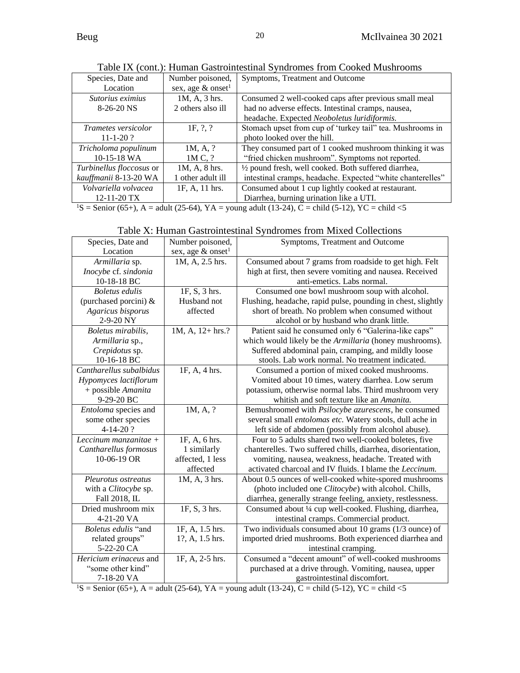| Species, Date and          | Number poisoned,                 | Symptoms, Treatment and Outcome                            |
|----------------------------|----------------------------------|------------------------------------------------------------|
| Location                   | sex, age $\&$ onset <sup>1</sup> |                                                            |
| Sutorius eximius           | 1M, A, 3 hrs.                    | Consumed 2 well-cooked caps after previous small meal      |
| $8-26-20$ NS               | 2 others also ill                | had no adverse effects. Intestinal cramps, nausea,         |
|                            |                                  | headache. Expected Neoboletus luridiformis.                |
| <i>Trametes versicolor</i> | 1F, $?$ , $?$                    | Stomach upset from cup of 'turkey tail" tea. Mushrooms in  |
| $11 - 1 - 20$ ?            |                                  | photo looked over the hill.                                |
| Tricholoma populinum       | 1M, A, ?                         | They consumed part of 1 cooked mushroom thinking it was    |
| $10-15-18$ WA              | 1M C, ?                          | "fried chicken mushroom". Symptoms not reported.           |
| Turbinellus floccosus or   | 1M, A, 8 hrs.                    | 1/2 pound fresh, well cooked. Both suffered diarrhea,      |
| kauffmanii 8-13-20 WA      | 1 other adult ill                | intestinal cramps, headache. Expected "white chanterelles" |
| Volvariella volvacea       | 1F, A, 11 hrs.                   | Consumed about 1 cup lightly cooked at restaurant.         |
| 12-11-20 TX                |                                  | Diarrhea, burning urination like a UTI.                    |

Table IX (cont.): Human Gastrointestinal Syndromes from Cooked Mushrooms

| Table X: Human Gastrointestinal Syndromes from Mixed Collections |  |  |  |  |  |
|------------------------------------------------------------------|--|--|--|--|--|
|------------------------------------------------------------------|--|--|--|--|--|

| Species, Date and                   | Number poisoned,              | Symptoms, Treatment and Outcome                                 |
|-------------------------------------|-------------------------------|-----------------------------------------------------------------|
| Location                            | sex, age & onset <sup>1</sup> |                                                                 |
| Armillaria sp.                      | 1M, A, 2.5 hrs.               | Consumed about 7 grams from roadside to get high. Felt          |
| Inocybe cf. sindonia                |                               | high at first, then severe vomiting and nausea. Received        |
| 10-18-18 BC                         |                               | anti-emetics. Labs normal.                                      |
| <b>Boletus</b> edulis               | 1F, S, 3 hrs.                 | Consumed one bowl mushroom soup with alcohol.                   |
| (purchased porcini) &               | Husband not                   | Flushing, headache, rapid pulse, pounding in chest, slightly    |
| Agaricus bisporus                   | affected                      | short of breath. No problem when consumed without               |
| 2-9-20 NY                           |                               | alcohol or by husband who drank little.                         |
| Boletus mirabilis,                  | $1M, A, 12 + hrs.$ ?          | Patient said he consumed only 6 "Galerina-like caps"            |
| Armillaria sp.,                     |                               | which would likely be the Armillaria (honey mushrooms).         |
| Crepidotus sp.                      |                               | Suffered abdominal pain, cramping, and mildly loose             |
| 10-16-18 BC                         |                               | stools. Lab work normal. No treatment indicated.                |
| Cantharellus subalbidus             | 1F, A, 4 hrs.                 | Consumed a portion of mixed cooked mushrooms.                   |
| Hypomyces lactiflorum               |                               | Vomited about 10 times, watery diarrhea. Low serum              |
| + possible <i>Amanita</i>           |                               | potassium, otherwise normal labs. Third mushroom very           |
| 9-29-20 BC                          |                               | whitish and soft texture like an <i>Amanita</i> .               |
| Entoloma species and                | 1M, A, ?                      | Bemushroomed with Psilocybe azurescens, he consumed             |
| some other species                  |                               | several small entolomas etc. Watery stools, dull ache in        |
| 4-14-20?                            |                               | left side of abdomen (possibly from alcohol abuse).             |
| $\overline{L}$ eccinum manzanitae + | 1F, A, 6 hrs.                 | Four to 5 adults shared two well-cooked boletes, five           |
| Cantharellus formosus               | 1 similarly                   | chanterelles. Two suffered chills, diarrhea, disorientation,    |
| 10-06-19 OR                         | affected, 1 less              | vomiting, nausea, weakness, headache. Treated with              |
|                                     | affected                      | activated charcoal and IV fluids. I blame the <i>Leccinum</i> . |
| Pleurotus ostreatus                 | 1M, A, 3 hrs.                 | About 0.5 ounces of well-cooked white-spored mushrooms          |
| with a Clitocybe sp.                |                               | (photo included one Clitocybe) with alcohol. Chills,            |
| Fall 2018, IL                       |                               | diarrhea, generally strange feeling, anxiety, restlessness.     |
| Dried mushroom mix                  | 1F, S, 3 hrs.                 | Consumed about 1/4 cup well-cooked. Flushing, diarrhea,         |
| 4-21-20 VA                          |                               | intestinal cramps. Commercial product.                          |
| Boletus edulis "and                 | 1F, A, 1.5 hrs.               | Two individuals consumed about 10 grams (1/3 ounce) of          |
| related groups"                     | 1?, A, 1.5 hrs.               | imported dried mushrooms. Both experienced diarrhea and         |
| 5-22-20 CA                          |                               | intestinal cramping.                                            |
| Hericium erinaceus and              | 1F, A, 2-5 hrs.               | Consumed a "decent amount" of well-cooked mushrooms             |
| "some other kind"                   |                               | purchased at a drive through. Vomiting, nausea, upper           |
| 7-18-20 VA                          |                               | gastrointestinal discomfort.                                    |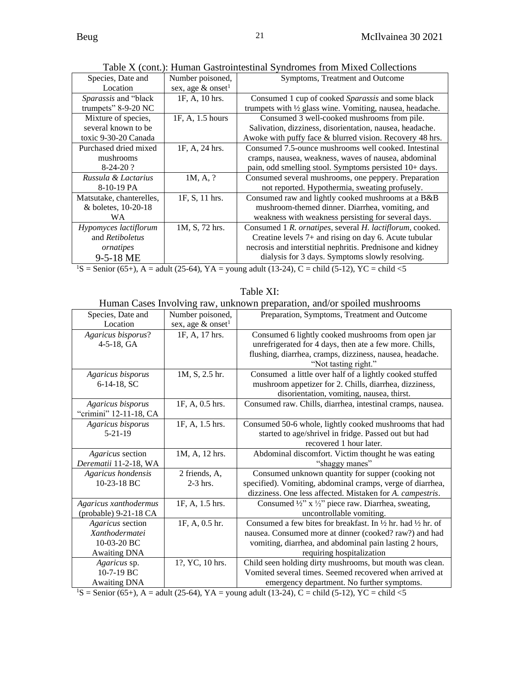| Species, Date and        | Number poisoned,                 | Symptoms, Treatment and Outcome                            |
|--------------------------|----------------------------------|------------------------------------------------------------|
| Location                 | sex, age $\&$ onset <sup>1</sup> |                                                            |
| Sparassis and "black     | 1F, A, 10 hrs.                   | Consumed 1 cup of cooked Sparassis and some black          |
| trumpets" 8-9-20 NC      |                                  | trumpets with 1/2 glass wine. Vomiting, nausea, headache.  |
| Mixture of species,      | 1F, A, 1.5 hours                 | Consumed 3 well-cooked mushrooms from pile.                |
| several known to be      |                                  | Salivation, dizziness, disorientation, nausea, headache.   |
| toxic 9-30-20 Canada     |                                  | Awoke with puffy face & blurred vision. Recovery 48 hrs.   |
| Purchased dried mixed    | 1F, A, 24 hrs.                   | Consumed 7.5-ounce mushrooms well cooked. Intestinal       |
| mushrooms                |                                  | cramps, nausea, weakness, waves of nausea, abdominal       |
| $8-24-20$ ?              |                                  | pain, odd smelling stool. Symptoms persisted 10+ days.     |
| Russula & Lactarius      | 1M, A, ?                         | Consumed several mushrooms, one peppery. Preparation       |
| 8-10-19 PA               |                                  | not reported. Hypothermia, sweating profusely.             |
| Matsutake, chanterelles, | 1F, S, 11 hrs.                   | Consumed raw and lightly cooked mushrooms at a B&B         |
| & boletes, 10-20-18      |                                  | mushroom-themed dinner. Diarrhea, vomiting, and            |
| <b>WA</b>                |                                  | weakness with weakness persisting for several days.        |
| Hypomyces lactiflorum    | 1M, S, 72 hrs.                   | Consumed 1 R. ornatipes, several H. lactiflorum, cooked.   |
| and Retiboletus          |                                  | Creatine levels 7+ and rising on day 6. Acute tubular      |
| ornatipes                |                                  | necrosis and interstitial nephritis. Prednisone and kidney |
| 9-5-18 ME                |                                  | dialysis for 3 days. Symptoms slowly resolving.            |

Table X (cont.): Human Gastrointestinal Syndromes from Mixed Collections

Table XI:

## Human Cases Involving raw, unknown preparation, and/or spoiled mushrooms

| Species, Date and      | Number poisoned,              | Preparation, Symptoms, Treatment and Outcome                                      |
|------------------------|-------------------------------|-----------------------------------------------------------------------------------|
| Location               | sex, age & onset <sup>1</sup> |                                                                                   |
| Agaricus bisporus?     | 1F, A, 17 hrs.                | Consumed 6 lightly cooked mushrooms from open jar                                 |
| $4-5-18$ , GA          |                               | unrefrigerated for 4 days, then ate a few more. Chills,                           |
|                        |                               | flushing, diarrhea, cramps, dizziness, nausea, headache.                          |
|                        |                               | "Not tasting right."                                                              |
| Agaricus bisporus      | 1M, S, 2.5 hr.                | Consumed a little over half of a lightly cooked stuffed                           |
| 6-14-18, SC            |                               | mushroom appetizer for 2. Chills, diarrhea, dizziness,                            |
|                        |                               | disorientation, vomiting, nausea, thirst.                                         |
| Agaricus bisporus      | 1F, A, 0.5 hrs.               | Consumed raw. Chills, diarrhea, intestinal cramps, nausea.                        |
| "crimini" 12-11-18, CA |                               |                                                                                   |
| Agaricus bisporus      | 1F, A, 1.5 hrs.               | Consumed 50-6 whole, lightly cooked mushrooms that had                            |
| $5 - 21 - 19$          |                               | started to age/shrivel in fridge. Passed out but had                              |
|                        |                               | recovered 1 hour later.                                                           |
| Agaricus section       | 1M, A, 12 hrs.                | Abdominal discomfort. Victim thought he was eating                                |
| Derematii 11-2-18, WA  |                               | "shaggy manes"                                                                    |
| Agaricus hondensis     | 2 friends, A,                 | Consumed unknown quantity for supper (cooking not                                 |
| 10-23-18 BC            | $2-3$ hrs.                    | specified). Vomiting, abdominal cramps, verge of diarrhea,                        |
|                        |                               | dizziness. One less affected. Mistaken for A. campestris.                         |
| Agaricus xanthodermus  | 1F, A, 1.5 hrs.               | Consumed $\frac{1}{2}$ " x $\frac{1}{2}$ " piece raw. Diarrhea, sweating,         |
| (probable) 9-21-18 CA  |                               | uncontrollable vomiting.                                                          |
| Agaricus section       | 1F, A, 0.5 hr.                | Consumed a few bites for breakfast. In $\frac{1}{2}$ hr. had $\frac{1}{2}$ hr. of |
| Xanthodermatei         |                               | nausea. Consumed more at dinner (cooked? raw?) and had                            |
| 10-03-20 BC            |                               | vomiting, diarrhea, and abdominal pain lasting 2 hours,                           |
| <b>Awaiting DNA</b>    |                               | requiring hospitalization                                                         |
| Agaricus sp.           | 1?, YC, 10 hrs.               | Child seen holding dirty mushrooms, but mouth was clean.                          |
| 10-7-19 BC             |                               | Vomited several times. Seemed recovered when arrived at                           |
| <b>Awaiting DNA</b>    |                               | emergency department. No further symptoms.                                        |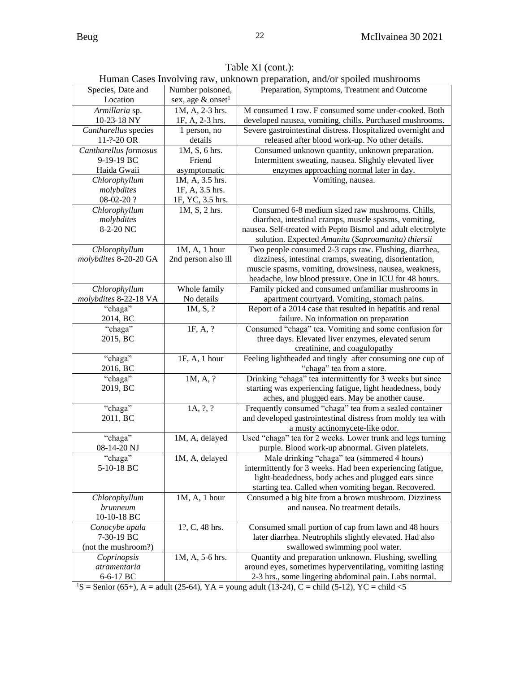|                               |                                                      | Truman Cases mvorving raw, unknown preparation, and/or sponce musinooms                                      |
|-------------------------------|------------------------------------------------------|--------------------------------------------------------------------------------------------------------------|
| Species, Date and<br>Location | Number poisoned,<br>sex, age $\&$ onset <sup>1</sup> | Preparation, Symptoms, Treatment and Outcome                                                                 |
| Armillaria sp.                | 1M, A, 2-3 hrs.                                      | M consumed 1 raw. F consumed some under-cooked. Both                                                         |
| 10-23-18 NY                   | 1F, A, 2-3 hrs.                                      | developed nausea, vomiting, chills. Purchased mushrooms.                                                     |
| Cantharellus species          | 1 person, no                                         | Severe gastrointestinal distress. Hospitalized overnight and                                                 |
| 11-?-20 OR                    | details                                              | released after blood work-up. No other details.                                                              |
| Cantharellus formosus         | 1M, S, 6 hrs.                                        | Consumed unknown quantity, unknown preparation.                                                              |
| 9-19-19 BC                    | Friend                                               | Intermittent sweating, nausea. Slightly elevated liver                                                       |
| Haida Gwaii                   | asymptomatic                                         | enzymes approaching normal later in day.                                                                     |
| Chlorophyllum                 | 1M, A, 3.5 hrs.                                      | Vomiting, nausea.                                                                                            |
| molybdites                    | 1F, A, 3.5 hrs.                                      |                                                                                                              |
| 08-02-20?                     | 1F, YC, 3.5 hrs.                                     |                                                                                                              |
| Chlorophyllum                 | 1M, S, 2 hrs.                                        | Consumed 6-8 medium sized raw mushrooms. Chills,                                                             |
| molybdites                    |                                                      | diarrhea, intestinal cramps, muscle spasms, vomiting,                                                        |
| 8-2-20 NC                     |                                                      | nausea. Self-treated with Pepto Bismol and adult electrolyte                                                 |
|                               |                                                      | solution. Expected Amanita (Saproamanita) thiersii                                                           |
| Chlorophyllum                 | $1M, A, 1$ hour                                      | Two people consumed 2-3 caps raw. Flushing, diarrhea,                                                        |
| molybdites 8-20-20 GA         | 2nd person also ill                                  | dizziness, intestinal cramps, sweating, disorientation,                                                      |
|                               |                                                      | muscle spasms, vomiting, drowsiness, nausea, weakness,                                                       |
|                               |                                                      | headache, low blood pressure. One in ICU for 48 hours.                                                       |
| Chlorophyllum                 | Whole family                                         | Family picked and consumed unfamiliar mushrooms in                                                           |
| molybdites 8-22-18 VA         | No details                                           | apartment courtyard. Vomiting, stomach pains.                                                                |
| "chaga"                       | 1M, S, ?                                             | Report of a 2014 case that resulted in hepatitis and renal                                                   |
| 2014, BC                      |                                                      | failure. No information on preparation                                                                       |
| "chaga"                       | 1F, A, ?                                             | Consumed "chaga" tea. Vomiting and some confusion for                                                        |
| 2015, BC                      |                                                      | three days. Elevated liver enzymes, elevated serum                                                           |
|                               |                                                      | creatinine, and coagulopathy                                                                                 |
| "chaga"                       | 1F, A, 1 hour                                        | Feeling lightheaded and tingly after consuming one cup of                                                    |
| 2016, BC                      |                                                      | "chaga" tea from a store.                                                                                    |
| "chaga"                       | 1M, A, ?                                             | Drinking "chaga" tea intermittently for 3 weeks but since                                                    |
| 2019, BC                      |                                                      | starting was experiencing fatigue, light headedness, body                                                    |
|                               |                                                      | aches, and plugged ears. May be another cause.                                                               |
| "chaga"                       | 1A, ?, ?                                             | Frequently consumed "chaga" tea from a sealed container                                                      |
| 2011, BC                      |                                                      | and developed gastrointestinal distress from moldy tea with                                                  |
|                               |                                                      | a musty actinomycete-like odor.                                                                              |
| "chaga"                       | 1M, A, delayed                                       | Used "chaga" tea for 2 weeks. Lower trunk and legs turning                                                   |
| $08-14-20$ NJ                 |                                                      | purple. Blood work-up abnormal. Given platelets.                                                             |
| "chaga"                       | 1M, A, delayed                                       | Male drinking "chaga" tea (simmered 4 hours)                                                                 |
| 5-10-18 BC                    |                                                      | intermittently for 3 weeks. Had been experiencing fatigue,                                                   |
|                               |                                                      | light-headedness, body aches and plugged ears since                                                          |
| Chlorophyllum                 | 1M, A, 1 hour                                        | starting tea. Called when vomiting began. Recovered.<br>Consumed a big bite from a brown mushroom. Dizziness |
| brunneum                      |                                                      | and nausea. No treatment details.                                                                            |
| 10-10-18 BC                   |                                                      |                                                                                                              |
| Conocybe apala                | 1?, C, 48 hrs.                                       | Consumed small portion of cap from lawn and 48 hours                                                         |
| 7-30-19 BC                    |                                                      | later diarrhea. Neutrophils slightly elevated. Had also                                                      |
| (not the mushroom?)           |                                                      | swallowed swimming pool water.                                                                               |
| Coprinopsis                   | 1M, A, 5-6 hrs.                                      | Quantity and preparation unknown. Flushing, swelling                                                         |
| atramentaria                  |                                                      | around eyes, sometimes hyperventilating, vomiting lasting                                                    |
| 6-6-17 BC                     |                                                      | 2-3 hrs., some lingering abdominal pain. Labs normal.                                                        |
|                               |                                                      |                                                                                                              |

Table XI (cont.): Human Cases Involving raw, unknown preparation, and/or spoiled mushrooms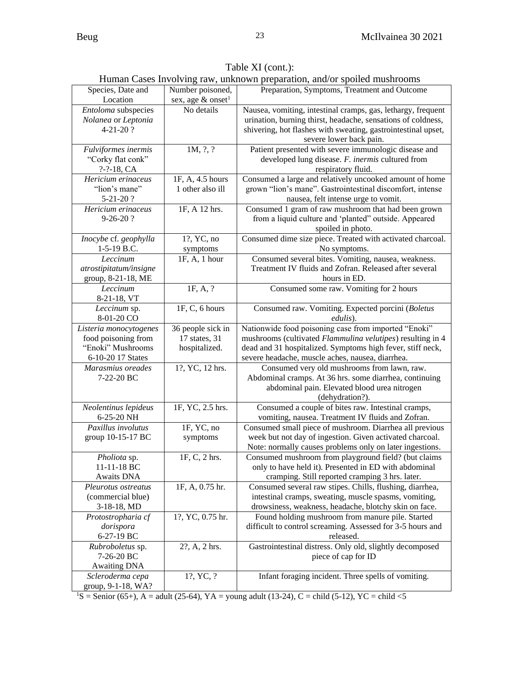| Table XI (cont.):                                                        |  |
|--------------------------------------------------------------------------|--|
| Human Cases Involving raw, unknown preparation, and/or spoiled mushrooms |  |

| Species, Date and                                                                       | Number poisoned,                                    | Preparation, Symptoms, Treatment and Outcome                                                                                                                                                                                         |
|-----------------------------------------------------------------------------------------|-----------------------------------------------------|--------------------------------------------------------------------------------------------------------------------------------------------------------------------------------------------------------------------------------------|
| Location                                                                                | sex, age & onset <sup>1</sup>                       |                                                                                                                                                                                                                                      |
| Entoloma subspecies<br>Nolanea or Leptonia<br>4-21-20?                                  | No details                                          | Nausea, vomiting, intestinal cramps, gas, lethargy, frequent<br>urination, burning thirst, headache, sensations of coldness,<br>shivering, hot flashes with sweating, gastrointestinal upset,<br>severe lower back pain.             |
| Fulviformes inermis<br>"Corky flat conk"<br>$? - ? - 18$ , CA                           | 1M, ?, ?                                            | Patient presented with severe immunologic disease and<br>developed lung disease. F. inermis cultured from<br>respiratory fluid.                                                                                                      |
| Hericium erinaceus<br>"lion's mane"<br>5-21-20?                                         | 1F, A, 4.5 hours<br>1 other also ill                | Consumed a large and relatively uncooked amount of home<br>grown "lion's mane". Gastrointestinal discomfort, intense<br>nausea, felt intense urge to vomit.                                                                          |
| Hericium erinaceus<br>$9-26-20?$                                                        | 1F, A 12 hrs.                                       | Consumed 1 gram of raw mushroom that had been grown<br>from a liquid culture and 'planted" outside. Appeared<br>spoiled in photo.                                                                                                    |
| Inocybe cf. geophylla<br>1-5-19 B.C.                                                    | 1?, YC, no<br>symptoms                              | Consumed dime size piece. Treated with activated charcoal.<br>No symptoms.                                                                                                                                                           |
| Leccinum<br>atrostipitatum/insigne<br>group, 8-21-18, ME                                | 1F, A, 1 hour                                       | Consumed several bites. Vomiting, nausea, weakness.<br>Treatment IV fluids and Zofran. Released after several<br>hours in ED.                                                                                                        |
| Leccinum<br>8-21-18, VT                                                                 | 1F, A, ?                                            | Consumed some raw. Vomiting for 2 hours                                                                                                                                                                                              |
| Leccinum sp.<br>8-01-20 CO                                                              | 1F, C, 6 hours                                      | Consumed raw. Vomiting. Expected porcini (Boletus<br>edulis).                                                                                                                                                                        |
| Listeria monocytogenes<br>food poisoning from<br>"Enoki" Mushrooms<br>6-10-20 17 States | 36 people sick in<br>17 states, 31<br>hospitalized. | Nationwide food poisoning case from imported "Enoki"<br>mushrooms (cultivated Flammulina velutipes) resulting in 4<br>dead and 31 hospitalized. Symptoms high fever, stiff neck,<br>severe headache, muscle aches, nausea, diarrhea. |
| Marasmius oreades<br>7-22-20 BC                                                         | 1?, YC, 12 hrs.                                     | Consumed very old mushrooms from lawn, raw.<br>Abdominal cramps. At 36 hrs. some diarrhea, continuing<br>abdominal pain. Elevated blood urea nitrogen<br>(dehydration?).                                                             |
| Neolentinus lepideus<br>6-25-20 NH                                                      | 1F, YC, 2.5 hrs.                                    | Consumed a couple of bites raw. Intestinal cramps,<br>vomiting, nausea. Treatment IV fluids and Zofran.                                                                                                                              |
| Paxillus involutus<br>group 10-15-17 BC                                                 | 1F, YC, no<br>symptoms                              | Consumed small piece of mushroom. Diarrhea all previous<br>week but not day of ingestion. Given activated charcoal.<br>Note: normally causes problems only on later ingestions.                                                      |
| Pholiota sp.<br>11-11-18 BC<br>Awaits DNA                                               | 1F, C, 2 hrs.                                       | Consumed mushroom from playground field? (but claims<br>only to have held it). Presented in ED with abdominal<br>cramping. Still reported cramping 3 hrs. later.                                                                     |
| Pleurotus ostreatus<br>(commercial blue)<br>$3-18-18$ , MD                              | 1F, A, 0.75 hr.                                     | Consumed several raw stipes. Chills, flushing, diarrhea,<br>intestinal cramps, sweating, muscle spasms, vomiting,<br>drowsiness, weakness, headache, blotchy skin on face.                                                           |
| Protostropharia cf<br>dorispora<br>6-27-19 BC                                           | 1?, YC, 0.75 hr.                                    | Found holding mushroom from manure pile. Started<br>difficult to control screaming. Assessed for 3-5 hours and<br>released.                                                                                                          |
| Rubroboletus sp.<br>7-26-20 BC<br><b>Awaiting DNA</b>                                   | 2?, A, 2 hrs.                                       | Gastrointestinal distress. Only old, slightly decomposed<br>piece of cap for ID                                                                                                                                                      |
| Scleroderma cepa<br>group, 9-1-18, WA?                                                  | 1?, YC, ?                                           | Infant foraging incident. Three spells of vomiting.                                                                                                                                                                                  |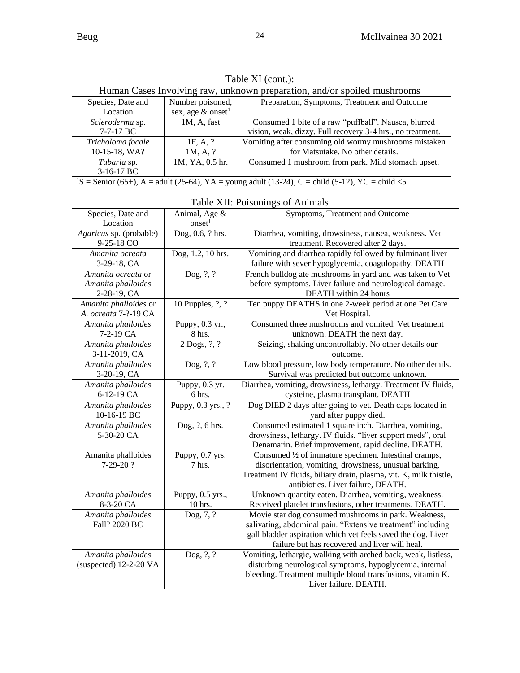| Human Cases Involving raw, unknown preparation, and/or spoiled mushrooms                      |                                  |                                                            |
|-----------------------------------------------------------------------------------------------|----------------------------------|------------------------------------------------------------|
| Species, Date and                                                                             | Number poisoned,                 | Preparation, Symptoms, Treatment and Outcome               |
| Location                                                                                      | sex, age $\&$ onset <sup>1</sup> |                                                            |
| Scleroderma sp.                                                                               | $1M$ , A, fast                   | Consumed 1 bite of a raw "puffball". Nausea, blurred       |
| $7-7-17$ BC                                                                                   |                                  | vision, weak, dizzy. Full recovery 3-4 hrs., no treatment. |
| Tricholoma focale                                                                             | 1F.A. ?                          | Vomiting after consuming old wormy mushrooms mistaken      |
| 10-15-18, WA?                                                                                 | 1M, A, ?                         | for Matsutake. No other details.                           |
| Tubaria sp.                                                                                   | 1M, YA, 0.5 hr.                  | Consumed 1 mushroom from park. Mild stomach upset.         |
| 3-16-17 BC                                                                                    |                                  |                                                            |
| $\sim$<br>1.1.79771<br>1.1.710.011.0<br>$\sim$ $\sim$ $\sim$ $\sim$ $\sim$<br>$1.1177$ $1.27$ |                                  |                                                            |

Table XI (cont.):

|  | luman Cases Involving raw unknown preparation and/or spoiled mushrooms |
|--|------------------------------------------------------------------------|

| Species, Date and<br>Location                           | Animal, Age &<br>onset <sup>1</sup> | Symptoms, Treatment and Outcome                                                                                                                                                                                                       |
|---------------------------------------------------------|-------------------------------------|---------------------------------------------------------------------------------------------------------------------------------------------------------------------------------------------------------------------------------------|
| Agaricus sp. (probable)<br>9-25-18 CO                   | Dog, 0.6, ? hrs.                    | Diarrhea, vomiting, drowsiness, nausea, weakness. Vet<br>treatment. Recovered after 2 days.                                                                                                                                           |
| Amanita ocreata<br>3-29-18, CA                          | Dog, 1.2, 10 hrs.                   | Vomiting and diarrhea rapidly followed by fulminant liver<br>failure with sever hypoglycemia, coagulopathy. DEATH                                                                                                                     |
| Amanita ocreata or<br>Amanita phalloides<br>2-28-19, CA | Dog, $?, ?$                         | French bulldog ate mushrooms in yard and was taken to Vet<br>before symptoms. Liver failure and neurological damage.<br>DEATH within 24 hours                                                                                         |
| Amanita phalloides or<br>A. ocreata 7-?-19 CA           | 10 Puppies, ?, ?                    | Ten puppy DEATHS in one 2-week period at one Pet Care<br>Vet Hospital.                                                                                                                                                                |
| Amanita phalloides<br>7-2-19 CA                         | Puppy, 0.3 yr.,<br>8 hrs.           | Consumed three mushrooms and vomited. Vet treatment<br>unknown. DEATH the next day.                                                                                                                                                   |
| Amanita phalloides<br>3-11-2019, CA                     | $2$ Dogs, $?$ , $?$                 | Seizing, shaking uncontrollably. No other details our<br>outcome.                                                                                                                                                                     |
| Amanita phalloides<br>3-20-19, CA                       | Dog, $?, ?$                         | Low blood pressure, low body temperature. No other details.<br>Survival was predicted but outcome unknown.                                                                                                                            |
| Amanita phalloides<br>6-12-19 CA                        | Puppy, 0.3 yr.<br>6 hrs.            | Diarrhea, vomiting, drowsiness, lethargy. Treatment IV fluids,<br>cysteine, plasma transplant. DEATH                                                                                                                                  |
| Amanita phalloides<br>10-16-19 BC                       | Puppy, 0.3 yrs., ?                  | Dog DIED 2 days after going to vet. Death caps located in<br>yard after puppy died.                                                                                                                                                   |
| Amanita phalloides<br>5-30-20 CA                        | Dog, ?, 6 hrs.                      | Consumed estimated 1 square inch. Diarrhea, vomiting,<br>drowsiness, lethargy. IV fluids, "liver support meds", oral<br>Denamarin. Brief improvement, rapid decline. DEATH.                                                           |
| Amanita phalloides<br>7-29-20?                          | Puppy, 0.7 yrs.<br>7 hrs.           | Consumed 1/2 of immature specimen. Intestinal cramps,<br>disorientation, vomiting, drowsiness, unusual barking.<br>Treatment IV fluids, biliary drain, plasma, vit. K, milk thistle,<br>antibiotics. Liver failure, DEATH.            |
| Amanita phalloides<br>8-3-20 CA                         | Puppy, 0.5 yrs.,<br>10 hrs.         | Unknown quantity eaten. Diarrhea, vomiting, weakness.<br>Received platelet transfusions, other treatments. DEATH.                                                                                                                     |
| Amanita phalloides<br>Fall? 2020 BC                     | Dog, 7, ?                           | Movie star dog consumed mushrooms in park. Weakness,<br>salivating, abdominal pain. "Extensive treatment" including<br>gall bladder aspiration which vet feels saved the dog. Liver<br>failure but has recovered and liver will heal. |
| Amanita phalloides<br>(suspected) 12-2-20 VA            | Dog, ?, ?                           | Vomiting, lethargic, walking with arched back, weak, listless,<br>disturbing neurological symptoms, hypoglycemia, internal<br>bleeding. Treatment multiple blood transfusions, vitamin K.<br>Liver failure. DEATH.                    |

|  |  | Table XII: Poisonings of Animals |
|--|--|----------------------------------|
|--|--|----------------------------------|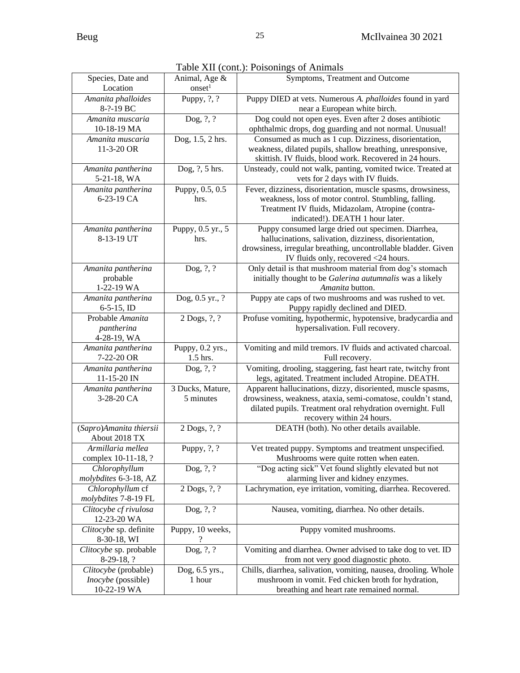|                                 |                                     | Table AII (Colit.). Poisoiniigs of Alliniais                                                                      |
|---------------------------------|-------------------------------------|-------------------------------------------------------------------------------------------------------------------|
| Species, Date and<br>Location   | Animal, Age &<br>onset <sup>1</sup> | Symptoms, Treatment and Outcome                                                                                   |
| Amanita phalloides<br>8-?-19 BC | Puppy, $?$ , $?$                    | Puppy DIED at vets. Numerous A. phalloides found in yard<br>near a European white birch.                          |
| Amanita muscaria<br>10-18-19 MA | Dog, ?, ?                           | Dog could not open eyes. Even after 2 doses antibiotic<br>ophthalmic drops, dog guarding and not normal. Unusual! |
| Amanita muscaria                | Dog, 1.5, 2 hrs.                    | Consumed as much as 1 cup. Dizziness, disorientation,                                                             |
| 11-3-20 OR                      |                                     | weakness, dilated pupils, shallow breathing, unresponsive,                                                        |
|                                 |                                     | skittish. IV fluids, blood work. Recovered in 24 hours.                                                           |
| Amanita pantherina              | Dog, ?, 5 hrs.                      | Unsteady, could not walk, panting, vomited twice. Treated at                                                      |
| 5-21-18, WA                     |                                     | vets for 2 days with IV fluids.                                                                                   |
| Amanita pantherina              | Puppy, 0.5, 0.5                     | Fever, dizziness, disorientation, muscle spasms, drowsiness,                                                      |
| 6-23-19 CA                      | hrs.                                | weakness, loss of motor control. Stumbling, falling.                                                              |
|                                 |                                     | Treatment IV fluids, Midazolam, Atropine (contra-                                                                 |
|                                 |                                     | indicated!). DEATH 1 hour later.                                                                                  |
| Amanita pantherina              | Puppy, 0.5 yr., 5                   | Puppy consumed large dried out specimen. Diarrhea,                                                                |
| 8-13-19 UT                      | hrs.                                | hallucinations, salivation, dizziness, disorientation,                                                            |
|                                 |                                     |                                                                                                                   |
|                                 |                                     | drowsiness, irregular breathing, uncontrollable bladder. Given<br>IV fluids only, recovered <24 hours.            |
| Amanita pantherina              | Dog, ?, ?                           | Only detail is that mushroom material from dog's stomach                                                          |
| probable                        |                                     | initially thought to be Galerina autumnalis was a likely                                                          |
| 1-22-19 WA                      |                                     | Amanita button.                                                                                                   |
| Amanita pantherina              | Dog, 0.5 yr., ?                     | Puppy ate caps of two mushrooms and was rushed to vet.                                                            |
| $6-5-15$ , ID                   |                                     | Puppy rapidly declined and DIED.                                                                                  |
| Probable Amanita                | 2 Dogs, ?, ?                        | Profuse vomiting, hypothermic, hypotensive, bradycardia and                                                       |
| pantherina                      |                                     | hypersalivation. Full recovery.                                                                                   |
| 4-28-19, WA                     |                                     |                                                                                                                   |
| Amanita pantherina              | Puppy, 0.2 yrs.,                    | Vomiting and mild tremors. IV fluids and activated charcoal.                                                      |
| 7-22-20 OR                      | 1.5 hrs.                            | Full recovery.                                                                                                    |
| Amanita pantherina              | Dog, ?, ?                           | Vomiting, drooling, staggering, fast heart rate, twitchy front                                                    |
| 11-15-20 IN                     |                                     | legs, agitated. Treatment included Atropine. DEATH.                                                               |
| Amanita pantherina              | 3 Ducks, Mature,                    | Apparent hallucinations, dizzy, disoriented, muscle spasms,                                                       |
| 3-28-20 CA                      | 5 minutes                           | drowsiness, weakness, ataxia, semi-comatose, couldn't stand,                                                      |
|                                 |                                     | dilated pupils. Treatment oral rehydration overnight. Full                                                        |
|                                 |                                     | recovery within 24 hours.                                                                                         |
| (Sapro)Amanita thiersii         | 2 Dogs, ?, ?                        | DEATH (both). No other details available.                                                                         |
| About 2018 TX                   |                                     |                                                                                                                   |
| Armillaria mellea               | Puppy, $?$ , $?$                    | Vet treated puppy. Symptoms and treatment unspecified.                                                            |
| complex 10-11-18, ?             |                                     | Mushrooms were quite rotten when eaten.                                                                           |
| Chlorophyllum                   | Dog, $?$ , $?$                      | "Dog acting sick" Vet found slightly elevated but not                                                             |
| molybdites 6-3-18, AZ           |                                     | alarming liver and kidney enzymes.                                                                                |
| Chlorophyllum cf                | $2$ Dogs, $?$ , $?$                 | Lachrymation, eye irritation, vomiting, diarrhea. Recovered.                                                      |
| molybdites 7-8-19 FL            |                                     |                                                                                                                   |
| Clitocybe cf rivulosa           | Dog, $?, ?$                         | Nausea, vomiting, diarrhea. No other details.                                                                     |
| 12-23-20 WA                     |                                     |                                                                                                                   |
| Clitocybe sp. definite          | Puppy, 10 weeks,                    | Puppy vomited mushrooms.                                                                                          |
| 8-30-18, WI                     |                                     |                                                                                                                   |
| Clitocybe sp. probable          | Dog, ?, ?                           | Vomiting and diarrhea. Owner advised to take dog to vet. ID                                                       |
| $8-29-18, ?$                    |                                     | from not very good diagnostic photo.                                                                              |
| Clitocybe (probable)            | Dog, 6.5 yrs.,                      | Chills, diarrhea, salivation, vomiting, nausea, drooling. Whole                                                   |
| <i>Inocybe</i> (possible)       | 1 hour                              | mushroom in vomit. Fed chicken broth for hydration,                                                               |
| 10-22-19 WA                     |                                     | breathing and heart rate remained normal.                                                                         |

Table XII (cont.): Poisonings of Animals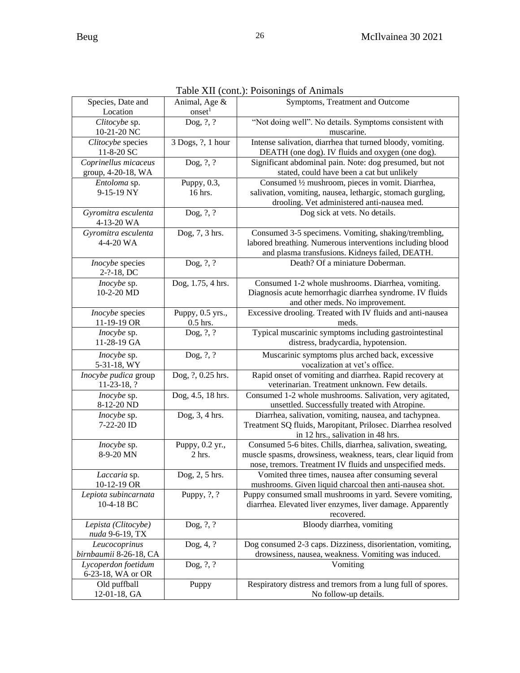|                                            |                                     | rable Art (Cont.). I disolings of Allmais                                                                                                                                                |
|--------------------------------------------|-------------------------------------|------------------------------------------------------------------------------------------------------------------------------------------------------------------------------------------|
| Species, Date and<br>Location              | Animal, Age &<br>onset <sup>1</sup> | Symptoms, Treatment and Outcome                                                                                                                                                          |
| Clitocybe sp.<br>10-21-20 NC               | Dog, ?, ?                           | "Not doing well". No details. Symptoms consistent with<br>muscarine.                                                                                                                     |
| Clitocybe species<br>11-8-20 SC            | 3 Dogs, ?, 1 hour                   | Intense salivation, diarrhea that turned bloody, vomiting.<br>DEATH (one dog). IV fluids and oxygen (one dog).                                                                           |
| Coprinellus micaceus<br>group, 4-20-18, WA | Dog, ?, ?                           | Significant abdominal pain. Note: dog presumed, but not<br>stated, could have been a cat but unlikely                                                                                    |
| Entoloma sp.<br>9-15-19 NY                 | Puppy, 0.3,<br>16 hrs.              | Consumed 1/2 mushroom, pieces in vomit. Diarrhea,<br>salivation, vomiting, nausea, lethargic, stomach gurgling,<br>drooling. Vet administered anti-nausea med.                           |
| Gyromitra esculenta<br>4-13-20 WA          | Dog, ?, ?                           | Dog sick at vets. No details.                                                                                                                                                            |
| Gyromitra esculenta<br>4-4-20 WA           | Dog, 7, 3 hrs.                      | Consumed 3-5 specimens. Vomiting, shaking/trembling,<br>labored breathing. Numerous interventions including blood<br>and plasma transfusions. Kidneys failed, DEATH.                     |
| Inocybe species<br>$2 - ? - 18$ , DC       | Dog, ?, ?                           | Death? Of a miniature Doberman.                                                                                                                                                          |
| Inocybe sp.<br>10-2-20 MD                  | Dog, 1.75, 4 hrs.                   | Consumed 1-2 whole mushrooms. Diarrhea, vomiting.<br>Diagnosis acute hemorrhagic diarrhea syndrome. IV fluids<br>and other meds. No improvement.                                         |
| Inocybe species<br>11-19-19 OR             | Puppy, 0.5 yrs.,<br>$0.5$ hrs.      | Excessive drooling. Treated with IV fluids and anti-nausea<br>meds.                                                                                                                      |
| Inocybe sp.<br>11-28-19 GA                 | Dog, ?, ?                           | Typical muscarinic symptoms including gastrointestinal<br>distress, bradycardia, hypotension.                                                                                            |
| Inocybe sp.<br>5-31-18, WY                 | Dog, ?, ?                           | Muscarinic symptoms plus arched back, excessive<br>vocalization at vet's office.                                                                                                         |
| Inocybe pudica group<br>$11-23-18, ?$      | Dog, ?, 0.25 hrs.                   | Rapid onset of vomiting and diarrhea. Rapid recovery at<br>veterinarian. Treatment unknown. Few details.                                                                                 |
| Inocybe sp.<br>8-12-20 ND                  | Dog, 4.5, 18 hrs.                   | Consumed 1-2 whole mushrooms. Salivation, very agitated,<br>unsettled. Successfully treated with Atropine.                                                                               |
| Inocybe sp.<br>7-22-20 ID                  | Dog, $3, 4$ hrs.                    | Diarrhea, salivation, vomiting, nausea, and tachypnea.<br>Treatment SQ fluids, Maropitant, Prilosec. Diarrhea resolved<br>in 12 hrs., salivation in 48 hrs.                              |
| Inocybe sp.<br>8-9-20 MN                   | Puppy, 0.2 yr.,<br>$2$ hrs.         | Consumed 5-6 bites. Chills, diarrhea, salivation, sweating,<br>muscle spasms, drowsiness, weakness, tears, clear liquid from<br>nose, tremors. Treatment IV fluids and unspecified meds. |
| Laccaria sp.<br>10-12-19 OR                | Dog, 2, 5 hrs.                      | Vomited three times, nausea after consuming several<br>mushrooms. Given liquid charcoal then anti-nausea shot.                                                                           |
| Lepiota subincarnata<br>10-4-18 BC         | Puppy, ?, ?                         | Puppy consumed small mushrooms in yard. Severe vomiting,<br>diarrhea. Elevated liver enzymes, liver damage. Apparently<br>recovered.                                                     |
| Lepista (Clitocybe)<br>nuda 9-6-19, TX     | Dog, ?, ?                           | Bloody diarrhea, vomiting                                                                                                                                                                |
| Leucocoprinus<br>birnbaumii 8-26-18, CA    | Dog, 4, ?                           | Dog consumed 2-3 caps. Dizziness, disorientation, vomiting,<br>drowsiness, nausea, weakness. Vomiting was induced.                                                                       |
| Lycoperdon foetidum<br>6-23-18, WA or OR   | Dog, ?, ?                           | Vomiting                                                                                                                                                                                 |
| Old puffball<br>12-01-18, GA               | Puppy                               | Respiratory distress and tremors from a lung full of spores.<br>No follow-up details.                                                                                                    |

Table XII (cont.): Poisonings of Animals